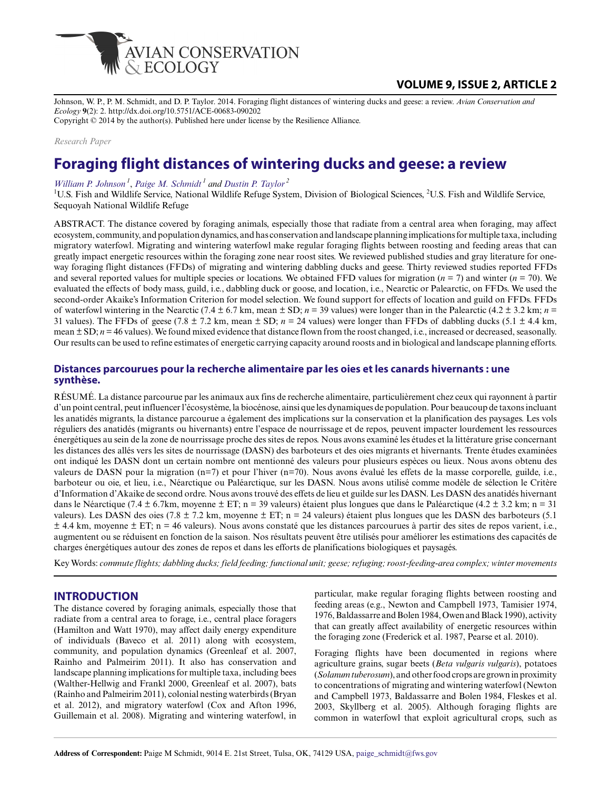

Johnson, W. P., P. M. Schmidt, and D. P. Taylor. 2014. Foraging flight distances of wintering ducks and geese: a review. *Avian Conservation and Ecology* **9**(2): 2. http://dx.doi.org/10.5751/ACE-00683-090202

Copyright © 2014 by the author(s). Published here under license by the Resilience Alliance.

*Research Paper*

# **Foraging flight distances of wintering ducks and geese: a review**

*[William P. Johnson](mailto:bill_johnson@fws.gov)<sup>1</sup>* , *[Paige M. Schmidt](mailto:paige_schmidt@fws.gov)<sup>1</sup> and [Dustin P. Taylor](mailto:dustin_taylor@fws.gov)<sup>2</sup>*

<sup>1</sup>U.S. Fish and Wildlife Service, National Wildlife Refuge System, Division of Biological Sciences, <sup>2</sup>U.S. Fish and Wildlife Service, Sequoyah National Wildlife Refuge

ABSTRACT. The distance covered by foraging animals, especially those that radiate from a central area when foraging, may affect ecosystem, community, and population dynamics, and has conservation and landscape planning implications for multiple taxa, including migratory waterfowl. Migrating and wintering waterfowl make regular foraging flights between roosting and feeding areas that can greatly impact energetic resources within the foraging zone near roost sites. We reviewed published studies and gray literature for oneway foraging flight distances (FFDs) of migrating and wintering dabbling ducks and geese. Thirty reviewed studies reported FFDs and several reported values for multiple species or locations. We obtained FFD values for migration  $(n = 7)$  and winter  $(n = 70)$ . We evaluated the effects of body mass, guild, i.e., dabbling duck or goose, and location, i.e., Nearctic or Palearctic, on FFDs. We used the second-order Akaike's Information Criterion for model selection. We found support for effects of location and guild on FFDs. FFDs of waterfowl wintering in the Nearctic (7.4  $\pm$  6.7 km, mean  $\pm$  SD; *n* = 39 values) were longer than in the Palearctic (4.2  $\pm$  3.2 km; *n* = 31 values). The FFDs of geese (7.8  $\pm$  7.2 km, mean  $\pm$  SD; *n* = 24 values) were longer than FFDs of dabbling ducks (5.1  $\pm$  4.4 km, mean  $\pm$  SD;  $n = 46$  values). We found mixed evidence that distance flown from the roost changed, i.e., increased or decreased, seasonally. Our results can be used to refine estimates of energetic carrying capacity around roosts and in biological and landscape planning efforts.

#### **Distances parcourues pour la recherche alimentaire par les oies et les canards hivernants : une synthèse.**

RÉSUMÉ. La distance parcourue par les animaux aux fins de recherche alimentaire, particulièrement chez ceux qui rayonnent à partir d'un point central, peut influencer l'écosystème, la biocénose, ainsi que les dynamiques de population. Pour beaucoup de taxons incluant les anatidés migrants, la distance parcourue a également des implications sur la conservation et la planification des paysages. Les vols réguliers des anatidés (migrants ou hivernants) entre l'espace de nourrissage et de repos, peuvent impacter lourdement les ressources énergétiques au sein de la zone de nourrissage proche des sites de repos. Nous avons examiné les études et la littérature grise concernant les distances des allés vers les sites de nourrissage (DASN) des barboteurs et des oies migrants et hivernants. Trente études examinées ont indiqué les DASN dont un certain nombre ont mentionné des valeurs pour plusieurs espèces ou lieux. Nous avons obtenu des valeurs de DASN pour la migration (n=7) et pour l'hiver (n=70). Nous avons évalué les effets de la masse corporelle, guilde, i.e., barboteur ou oie, et lieu, i.e., Néarctique ou Paléarctique, sur les DASN. Nous avons utilisé comme modèle de sélection le Critère d'Information d'Akaike de second ordre. Nous avons trouvé des effets de lieu et guilde sur les DASN. Les DASN des anatidés hivernant dans le Néarctique (7.4 ± 6.7km, moyenne ± ET; n = 39 valeurs) étaient plus longues que dans le Paléarctique (4.2 ± 3.2 km; n = 31 valeurs). Les DASN des oies (7.8  $\pm$  7.2 km, moyenne  $\pm$  ET; n = 24 valeurs) étaient plus longues que les DASN des barboteurs (5.1 ± 4.4 km, moyenne ± ET; n = 46 valeurs). Nous avons constaté que les distances parcourues à partir des sites de repos varient, i.e., augmentent ou se réduisent en fonction de la saison. Nos résultats peuvent être utilisés pour améliorer les estimations des capacités de charges énergétiques autour des zones de repos et dans les efforts de planifications biologiques et paysagés.

Key Words: *commute flights; dabbling ducks; field feeding; functional unit; geese; refuging; roost-feeding-area complex; winter movements*

#### **INTRODUCTION**

The distance covered by foraging animals, especially those that radiate from a central area to forage, i.e., central place foragers (Hamilton and Watt 1970), may affect daily energy expenditure of individuals (Baveco et al. 2011) along with ecosystem, community, and population dynamics (Greenleaf et al. 2007, Rainho and Palmeirim 2011). It also has conservation and landscape planning implications for multiple taxa, including bees (Walther-Hellwig and Frankl 2000, Greenleaf et al. 2007), bats (Rainho and Palmeirim 2011), colonial nesting waterbirds (Bryan et al. 2012), and migratory waterfowl (Cox and Afton 1996, Guillemain et al. 2008). Migrating and wintering waterfowl, in

particular, make regular foraging flights between roosting and feeding areas (e.g., Newton and Campbell 1973, Tamisier 1974, 1976, Baldassarre and Bolen 1984, Owen and Black 1990), activity that can greatly affect availability of energetic resources within the foraging zone (Frederick et al. 1987, Pearse et al. 2010).

Foraging flights have been documented in regions where agriculture grains, sugar beets (*Beta vulgaris vulgaris*), potatoes (*Solanum tuberosum*), and other food crops are grown in proximity to concentrations of migrating and wintering waterfowl (Newton and Campbell 1973, Baldassarre and Bolen 1984, Fleskes et al. 2003, Skyllberg et al. 2005). Although foraging flights are common in waterfowl that exploit agricultural crops, such as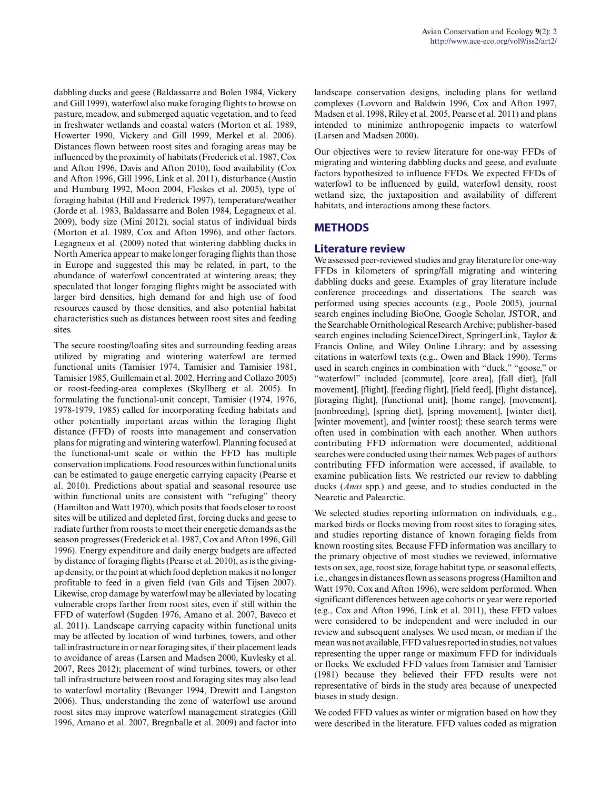dabbling ducks and geese (Baldassarre and Bolen 1984, Vickery and Gill 1999), waterfowl also make foraging flights to browse on pasture, meadow, and submerged aquatic vegetation, and to feed in freshwater wetlands and coastal waters (Morton et al. 1989, Howerter 1990, Vickery and Gill 1999, Merkel et al. 2006). Distances flown between roost sites and foraging areas may be influenced by the proximity of habitats (Frederick et al. 1987, Cox and Afton 1996, Davis and Afton 2010), food availability (Cox and Afton 1996, Gill 1996, Link et al. 2011), disturbance (Austin and Humburg 1992, Moon 2004, Fleskes et al. 2005), type of foraging habitat (Hill and Frederick 1997), temperature/weather (Jorde et al. 1983, Baldassarre and Bolen 1984, Legagneux et al. 2009), body size (Mini 2012), social status of individual birds (Morton et al. 1989, Cox and Afton 1996), and other factors. Legagneux et al. (2009) noted that wintering dabbling ducks in North America appear to make longer foraging flights than those in Europe and suggested this may be related, in part, to the abundance of waterfowl concentrated at wintering areas; they speculated that longer foraging flights might be associated with larger bird densities, high demand for and high use of food resources caused by those densities, and also potential habitat characteristics such as distances between roost sites and feeding sites.

The secure roosting/loafing sites and surrounding feeding areas utilized by migrating and wintering waterfowl are termed functional units (Tamisier 1974, Tamisier and Tamisier 1981, Tamisier 1985, Guillemain et al. 2002, Herring and Collazo 2005) or roost-feeding-area complexes (Skyllberg et al. 2005). In formulating the functional-unit concept, Tamisier (1974, 1976, 1978-1979, 1985) called for incorporating feeding habitats and other potentially important areas within the foraging flight distance (FFD) of roosts into management and conservation plans for migrating and wintering waterfowl. Planning focused at the functional-unit scale or within the FFD has multiple conservation implications. Food resources within functional units can be estimated to gauge energetic carrying capacity (Pearse et al. 2010). Predictions about spatial and seasonal resource use within functional units are consistent with "refuging" theory (Hamilton and Watt 1970), which posits that foods closer to roost sites will be utilized and depleted first, forcing ducks and geese to radiate further from roosts to meet their energetic demands as the season progresses (Frederick et al. 1987, Cox and Afton 1996, Gill 1996). Energy expenditure and daily energy budgets are affected by distance of foraging flights (Pearse et al. 2010), as is the givingup density, or the point at which food depletion makes it no longer profitable to feed in a given field (van Gils and Tijsen 2007). Likewise, crop damage by waterfowl may be alleviated by locating vulnerable crops farther from roost sites, even if still within the FFD of waterfowl (Sugden 1976, Amano et al. 2007, Baveco et al. 2011). Landscape carrying capacity within functional units may be affected by location of wind turbines, towers, and other tall infrastructure in or near foraging sites, if their placement leads to avoidance of areas (Larsen and Madsen 2000, Kuvlesky et al. 2007, Rees 2012); placement of wind turbines, towers, or other tall infrastructure between roost and foraging sites may also lead to waterfowl mortality (Bevanger 1994, Drewitt and Langston 2006). Thus, understanding the zone of waterfowl use around roost sites may improve waterfowl management strategies (Gill 1996, Amano et al. 2007, Bregnballe et al. 2009) and factor into landscape conservation designs, including plans for wetland complexes (Lovvorn and Baldwin 1996, Cox and Afton 1997, Madsen et al. 1998, Riley et al. 2005, Pearse et al. 2011) and plans intended to minimize anthropogenic impacts to waterfowl (Larsen and Madsen 2000).

Our objectives were to review literature for one-way FFDs of migrating and wintering dabbling ducks and geese, and evaluate factors hypothesized to influence FFDs. We expected FFDs of waterfowl to be influenced by guild, waterfowl density, roost wetland size, the juxtaposition and availability of different habitats, and interactions among these factors.

### **METHODS**

#### **Literature review**

We assessed peer-reviewed studies and gray literature for one-way FFDs in kilometers of spring/fall migrating and wintering dabbling ducks and geese. Examples of gray literature include conference proceedings and dissertations. The search was performed using species accounts (e.g., Poole 2005), journal search engines including BioOne, Google Scholar, JSTOR, and the Searchable Ornithological Research Archive; publisher-based search engines including ScienceDirect, SpringerLink, Taylor & Francis Online, and Wiley Online Library; and by assessing citations in waterfowl texts (e.g., Owen and Black 1990). Terms used in search engines in combination with "duck," "goose," or "waterfowl" included [commute], [core area], [fall diet], [fall movement], [flight], [feeding flight], [field feed], [flight distance], [foraging flight], [functional unit], [home range], [movement], [nonbreeding], [spring diet], [spring movement], [winter diet], [winter movement], and [winter roost]; these search terms were often used in combination with each another. When authors contributing FFD information were documented, additional searches were conducted using their names. Web pages of authors contributing FFD information were accessed, if available, to examine publication lists. We restricted our review to dabbling ducks (*Anas* spp.) and geese, and to studies conducted in the Nearctic and Palearctic.

We selected studies reporting information on individuals, e.g., marked birds or flocks moving from roost sites to foraging sites, and studies reporting distance of known foraging fields from known roosting sites. Because FFD information was ancillary to the primary objective of most studies we reviewed, informative tests on sex, age, roost size, forage habitat type, or seasonal effects, i.e., changes in distances flown as seasons progress (Hamilton and Watt 1970, Cox and Afton 1996), were seldom performed. When significant differences between age cohorts or year were reported (e.g., Cox and Afton 1996, Link et al. 2011), these FFD values were considered to be independent and were included in our review and subsequent analyses. We used mean, or median if the mean was not available, FFD values reported in studies, not values representing the upper range or maximum FFD for individuals or flocks. We excluded FFD values from Tamisier and Tamisier (1981) because they believed their FFD results were not representative of birds in the study area because of unexpected biases in study design.

We coded FFD values as winter or migration based on how they were described in the literature. FFD values coded as migration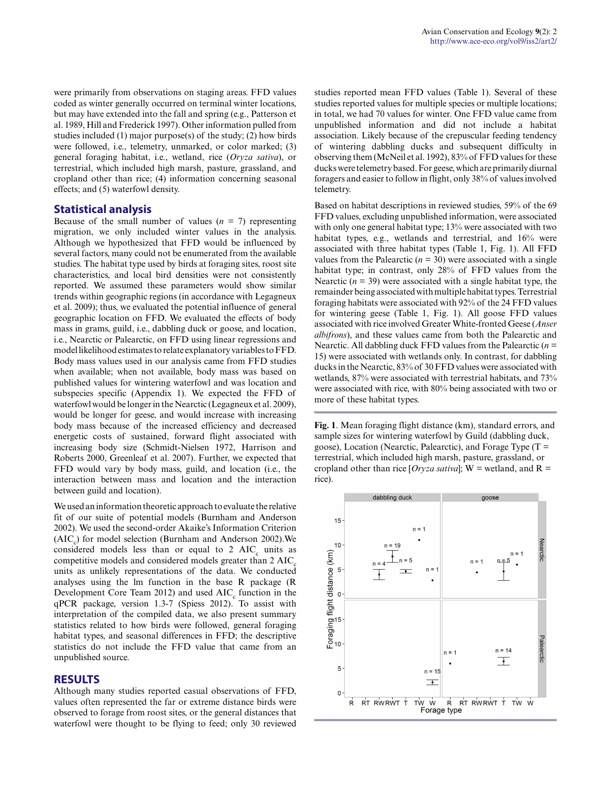were primarily from observations on staging areas. FFD values coded as winter generally occurred on terminal winter locations, but may have extended into the fall and spring (e.g., Patterson et al. 1989, Hill and Frederick 1997). Other information pulled from studies included (1) major purpose(s) of the study; (2) how birds were followed, i.e., telemetry, unmarked, or color marked; (3) general foraging habitat, i.e., wetland, rice (*Oryza sativa*), or terrestrial, which included high marsh, pasture, grassland, and cropland other than rice; (4) information concerning seasonal effects; and (5) waterfowl density.

### **Statistical analysis**

Because of the small number of values  $(n = 7)$  representing migration, we only included winter values in the analysis. Although we hypothesized that FFD would be influenced by several factors, many could not be enumerated from the available studies. The habitat type used by birds at foraging sites, roost site characteristics, and local bird densities were not consistently reported. We assumed these parameters would show similar trends within geographic regions (in accordance with Legagneux et al. 2009); thus, we evaluated the potential influence of general geographic location on FFD. We evaluated the effects of body mass in grams, guild, i.e., dabbling duck or goose, and location, i.e., Nearctic or Palearctic, on FFD using linear regressions and model likelihood estimates to relate explanatory variables to FFD. Body mass values used in our analysis came from FFD studies when available; when not available, body mass was based on published values for wintering waterfowl and was location and subspecies specific (Appendix 1). We expected the FFD of waterfowl would be longer in the Nearctic (Legagneux et al. 2009), would be longer for geese, and would increase with increasing body mass because of the increased efficiency and decreased energetic costs of sustained, forward flight associated with increasing body size (Schmidt-Nielsen 1972, Harrison and Roberts 2000, Greenleaf et al. 2007). Further, we expected that FFD would vary by body mass, guild, and location (i.e., the interaction between mass and location and the interaction between guild and location).

We used an information theoretic approach to evaluate the relative fit of our suite of potential models (Burnham and Anderson 2002). We used the second-order Akaike's Information Criterion  $(AIC<sub>c</sub>)$  for model selection (Burnham and Anderson 2002). We considered models less than or equal to  $2$   $AIC_c$  units as competitive models and considered models greater than  $2 AIC<sub>c</sub>$ units as unlikely representations of the data. We conducted analyses using the lm function in the base R package (R Development Core Team 2012) and used  $AIC_c$  function in the qPCR package, version 1.3-7 (Spiess 2012). To assist with interpretation of the compiled data, we also present summary statistics related to how birds were followed, general foraging habitat types, and seasonal differences in FFD; the descriptive statistics do not include the FFD value that came from an unpublished source.

#### **RESULTS**

Although many studies reported casual observations of FFD, values often represented the far or extreme distance birds were observed to forage from roost sites, or the general distances that waterfowl were thought to be flying to feed; only 30 reviewed studies reported mean FFD values (Table 1). Several of these studies reported values for multiple species or multiple locations; in total, we had 70 values for winter. One FFD value came from unpublished information and did not include a habitat association. Likely because of the crepuscular feeding tendency of wintering dabbling ducks and subsequent difficulty in observing them (McNeil et al. 1992), 83% of FFD values for these ducks were telemetry based. For geese, which are primarily diurnal foragers and easier to follow in flight, only 38% of values involved telemetry.

Based on habitat descriptions in reviewed studies, 59% of the 69 FFD values, excluding unpublished information, were associated with only one general habitat type; 13% were associated with two habitat types, e.g., wetlands and terrestrial, and 16% were associated with three habitat types (Table 1, Fig. 1). All FFD values from the Palearctic  $(n = 30)$  were associated with a single habitat type; in contrast, only 28% of FFD values from the Nearctic  $(n = 39)$  were associated with a single habitat type, the remainder being associated with multiple habitat types. Terrestrial foraging habitats were associated with 92% of the 24 FFD values for wintering geese (Table 1, Fig. 1). All goose FFD values associated with rice involved Greater White-fronted Geese (*Anser albifrons*), and these values came from both the Palearctic and Nearctic. All dabbling duck FFD values from the Palearctic (*n* = 15) were associated with wetlands only. In contrast, for dabbling ducks in the Nearctic, 83% of 30 FFD values were associated with wetlands, 87% were associated with terrestrial habitats, and 73% were associated with rice, with 80% being associated with two or more of these habitat types.

**Fig. 1**. Mean foraging flight distance (km), standard errors, and sample sizes for wintering waterfowl by Guild (dabbling duck, goose), Location (Nearctic, Palearctic), and Forage Type  $(T =$ terrestrial, which included high marsh, pasture, grassland, or cropland other than rice [*Oryza sativa*]; W = wetland, and R = rice).

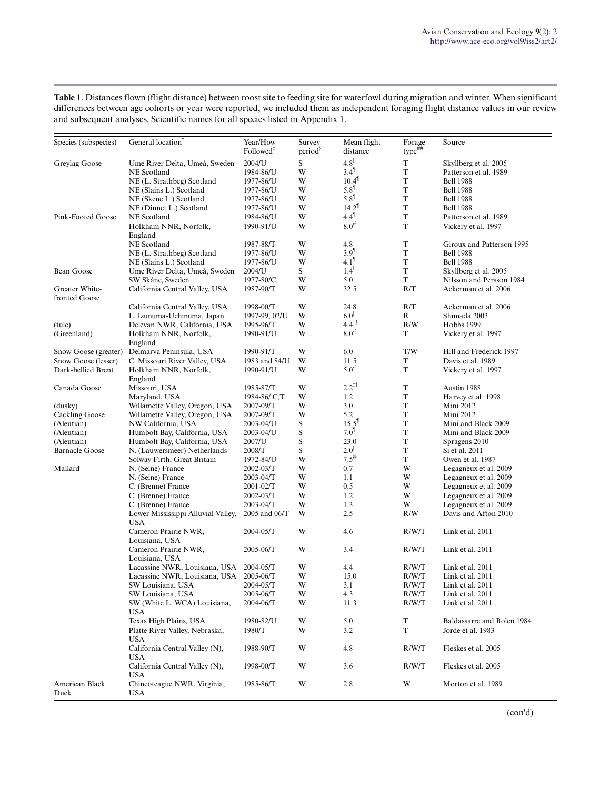**Table 1**. Distances flown (flight distance) between roost site to feeding site for waterfowl during migration and winter. When significant differences between age cohorts or year were reported, we included them as independent foraging flight distance values in our review and subsequent analyses. Scientific names for all species listed in Appendix 1.

| Species (subspecies)            | General location                                 | Year/How<br>Followed <sup>\$</sup> | Survey<br>period <sup>§</sup> | Mean flight<br>distance                 | Forage<br>type <sup>##</sup> | Source                     |
|---------------------------------|--------------------------------------------------|------------------------------------|-------------------------------|-----------------------------------------|------------------------------|----------------------------|
| Greylag Goose                   | Ume River Delta, Umeå, Sweden                    | 2004/U                             | S                             | 4.8 <sup>1</sup>                        | $\mathbf T$                  | Skyllberg et al. 2005      |
|                                 | NE Scotland                                      | 1984-86/U                          | W                             | $3.4^{\frac{1}{2}}$                     | $\mathbf T$                  | Patterson et al. 1989      |
|                                 | NE (L. Strathbeg) Scotland                       | 1977-86/U                          | W                             | $10.4$ <sup><math>\text{T}</math></sup> | $\mathbf T$                  | <b>Bell 1988</b>           |
|                                 | NE (Slains L.) Scotland                          | 1977-86/U                          | W                             | $5.8^{\degree}$                         | $\mathbf T$                  | <b>Bell 1988</b>           |
|                                 | NE (Skene L.) Scotland                           | 1977-86/U                          | W                             | $5.8^{\degree}$                         | T                            | <b>Bell 1988</b>           |
|                                 | NE (Dinnet L.) Scotland                          | 1977-86/U                          | W                             | $14.2$ <sup>1</sup>                     | $\mathbf T$                  | <b>Bell 1988</b>           |
| Pink-Footed Goose               | NE Scotland                                      | 1984-86/U                          | W                             | $4.4^\P$                                | T                            | Patterson et al. 1989      |
|                                 | Holkham NNR, Norfolk,<br>England                 | 1990-91/U                          | W                             | $8.0^{#}$                               | $\mathbf T$                  | Vickery et al. 1997        |
|                                 | NE Scotland                                      | 1987-88/T                          | W                             | 4.8                                     | T                            | Giroux and Patterson 1995  |
|                                 | NE (L. Strathbeg) Scotland                       | 1977-86/U                          | W                             | $3.9^{1}$                               | $\mathbf T$                  | <b>Bell 1988</b>           |
|                                 | NE (Slains L.) Scotland                          | 1977-86/U                          | W                             | $4.1^{\frac{1}{2}}$                     | $\mathbf T$                  | <b>Bell 1988</b>           |
| Bean Goose                      | Ume River Delta, Umeå, Sweden                    | 2004/U                             | S                             | 1.4 <sup>1</sup>                        | $\mathbf T$                  | Skyllberg et al. 2005      |
|                                 | SW Skåne, Sweden                                 | 1977-80/C                          | W                             | 5.0                                     | $\mathbf T$                  | Nilsson and Persson 1984   |
| Greater White-<br>fronted Goose | California Central Valley, USA                   | 1987-90/T                          | W                             | 32.5                                    | R/T                          | Ackerman et al. 2006       |
|                                 | California Central Valley, USA                   | 1998-00/T                          | W                             | 24.8                                    | R/T                          | Ackerman et al. 2006       |
|                                 | L. Izunuma-Uchinuma, Japan                       | 1997-99, 02/U                      | W                             | 6.0 <sup>1</sup>                        | R                            | Shimada 2003               |
| (tule)                          | Delevan NWR, California, USA                     | 1995-96/T                          | W                             | $4.4^{\dagger\dagger}$                  | R/W                          | Hobbs 1999                 |
| (Greenland)                     | Holkham NNR, Norfolk,<br>England                 | 1990-91/U                          | W                             | $8.0^{#}$                               | T                            | Vickery et al. 1997        |
| Snow Goose (greater)            | Delmarva Peninsula, USA                          | 1990-91/T                          | W                             | 6.0                                     | T/W                          | Hill and Frederick 1997    |
| Snow Goose (lesser)             | C. Missouri River Valley, USA                    | 1983 and 84/U                      | W                             | 11.5                                    | T                            | Davis et al. 1989          |
| Dark-bellied Brent              | Holkham NNR, Norfolk,<br>England                 | 1990-91/U                          | W                             | $5.0^{#}$                               | T                            | Vickery et al. 1997        |
| Canada Goose                    | Missouri, USA                                    | 1985-87/T                          | W                             | $2.2^{\ddagger\ddagger}$                | T                            | Austin 1988                |
|                                 | Maryland, USA                                    | 1984-86/ C,T                       | W                             | 1.2                                     | $\mathbf T$                  | Harvey et al. 1998         |
| (dusky)                         | Willamette Valley, Oregon, USA                   | 2007-09/T                          | W                             | 3.0                                     | $\mathbf T$                  | Mini 2012                  |
| <b>Cackling Goose</b>           | Willamette Valley, Oregon, USA                   | 2007-09/T                          | W                             | 5.2                                     | T                            | Mini 2012                  |
| (Aleutian)                      | NW California, USA                               | 2003-04/U                          | S                             | $15.5^{\circ}$                          | $\mathbf T$                  | Mini and Black 2009        |
| (Aleutian)                      | Humbolt Bay, California, USA                     | 2003-04/U                          | S                             | 7.0 <sup>1</sup>                        | $\mathbf T$                  | Mini and Black 2009        |
| (Aleutian)                      | Humbolt Bay, California, USA                     | 2007/U                             | S                             | 23.0                                    | $\mathbf T$                  | Spragens 2010              |
| <b>Barnacle Goose</b>           | N. (Lauwersmeer) Netherlands                     | 2008/T                             | S                             | 2.0 <sup>1</sup>                        | $\mathbf T$                  | Si et al. 2011             |
|                                 | Solway Firth, Great Britain                      | 1972-84/U                          | W                             | $7.5^{\$}$                              | T                            | Owen et al. 1987           |
| Mallard                         | N. (Seine) France                                | 2002-03/T                          | W                             | 0.7                                     | W                            | Legagneux et al. 2009      |
|                                 | N. (Seine) France                                | 2003-04/T                          | W                             | 1.1                                     | W                            | Legagneux et al. 2009      |
|                                 | C. (Brenne) France                               | $2001 - 02/T$                      | W                             | 0.5                                     | W                            | Legagneux et al. 2009      |
|                                 | C. (Brenne) France                               | $2002 - 03/T$                      | W                             | 1.2                                     | W                            | Legagneux et al. 2009      |
|                                 | C. (Brenne) France                               | 2003-04/T                          | W                             | 1.3                                     | W                            | Legagneux et al. 2009      |
|                                 |                                                  | 2005 and 06/T                      | W                             | 2.5                                     | R/W                          | Davis and Afton 2010       |
|                                 | Lower Mississippi Alluvial Valley,<br><b>USA</b> |                                    |                               |                                         |                              |                            |
|                                 | Cameron Prairie NWR,<br>Louisiana, USA           | 2004-05/T                          | W                             | 4.6                                     | R/W/T                        | Link et al. 2011           |
|                                 | Cameron Prairie NWR,<br>Louisiana, USA           | 2005-06/T                          | W                             | 3.4                                     | R/W/T                        | Link et al. 2011           |
|                                 | Lacassine NWR, Louisiana, USA                    | $2004 - 05/T$                      | W                             | 4.4                                     | R/W/T                        | Link et al. 2011           |
|                                 | Lacassine NWR, Louisiana, USA 2005-06/T          |                                    | W                             | 15.0                                    | R/W/T                        | Link et al. 2011           |
|                                 | SW Louisiana, USA                                | 2004-05/T                          | W                             | 3.1                                     | R/W/T                        | Link et al. 2011           |
|                                 | SW Louisiana, USA                                | 2005-06/T                          | W                             | 4.3                                     | R/W/T                        | Link et al. 2011           |
|                                 | SW (White L. WCA) Louisiana,<br><b>USA</b>       | 2004-06/T                          | W                             | 11.3                                    | R/W/T                        | Link et al. 2011           |
|                                 | Texas High Plains, USA                           | 1980-82/U                          | W                             | 5.0                                     | $\mathbf T$                  | Baldassarre and Bolen 1984 |
|                                 | Platte River Valley, Nebraska,<br><b>USA</b>     | 1980/T                             | W                             | 3.2                                     | T                            | Jorde et al. 1983          |
|                                 | California Central Valley (N),<br><b>USA</b>     | 1988-90/T                          | W                             | 4.8                                     | R/W/T                        | Fleskes et al. 2005        |
|                                 | California Central Valley (N),<br><b>USA</b>     | 1998-00/T                          | W                             | 3.6                                     | R/W/T                        | Fleskes et al. 2005        |
| American Black<br>Duck          | Chincoteague NWR, Virginia,<br><b>USA</b>        | 1985-86/T                          | W                             | 2.8                                     | W                            | Morton et al. 1989         |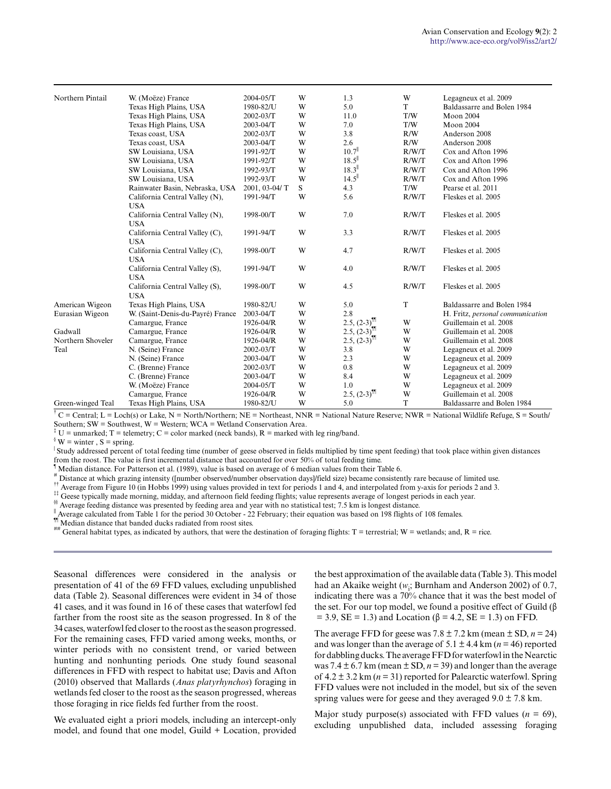| Northern Pintail  | W. (Moëze) France                | 2004-05/T     | W  | 1.3                        | W     | Legagneux et al. 2009            |
|-------------------|----------------------------------|---------------|----|----------------------------|-------|----------------------------------|
|                   | Texas High Plains, USA           | 1980-82/U     | W  | 5.0                        | T     | Baldassarre and Bolen 1984       |
|                   | Texas High Plains, USA           | 2002-03/T     | W  | 11.0                       | T/W   | <b>Moon 2004</b>                 |
|                   | Texas High Plains, USA           | 2003-04/T     | W  | 7.0                        | T/W   | <b>Moon 2004</b>                 |
|                   | Texas coast, USA                 | 2002-03/T     | W  | 3.8                        | R/W   | Anderson 2008                    |
|                   | Texas coast, USA                 | 2003-04/T     | W  | 2.6                        | R/W   | Anderson 2008                    |
|                   | SW Louisiana, USA                | 1991-92/T     | W  | $10.7^{\parallel}$         | R/W/T | Cox and Afton 1996               |
|                   | SW Louisiana, USA                | 1991-92/T     | W  | 18.5                       | R/W/T | Cox and Afton 1996               |
|                   | SW Louisiana, USA                | 1992-93/T     | W  | 18.3                       | R/W/T | Cox and Afton 1996               |
|                   | SW Louisiana, USA                | 1992-93/T     | W  | $14.5$ <sup>  </sup>       | R/W/T | Cox and Afton 1996               |
|                   | Rainwater Basin, Nebraska, USA   | 2001, 03-04/T | S. | 4.3                        | T/W   | Pearse et al. 2011               |
|                   | California Central Valley (N),   | 1991-94/T     | W  | 5.6                        | R/W/T | Fleskes et al. 2005              |
|                   | <b>USA</b>                       |               |    |                            |       |                                  |
|                   | California Central Valley (N),   | 1998-00/T     | W  | 7.0                        | R/W/T | Fleskes et al. 2005              |
|                   | <b>USA</b>                       |               |    |                            |       |                                  |
|                   | California Central Valley (C),   | 1991-94/T     | W  | 3.3                        | R/W/T | Fleskes et al. 2005              |
|                   | <b>USA</b>                       |               |    |                            |       |                                  |
|                   | California Central Valley (C),   | 1998-00/T     | W  | 4.7                        | R/W/T | Fleskes et al. 2005              |
|                   | <b>USA</b>                       |               |    |                            |       |                                  |
|                   | California Central Valley (S),   | 1991-94/T     | W  | 4.0                        | R/W/T | Fleskes et al. 2005              |
|                   | <b>USA</b>                       |               |    |                            |       |                                  |
|                   | California Central Valley (S),   | 1998-00/T     | W  | 4.5                        | R/W/T | Fleskes et al. 2005              |
|                   | <b>USA</b>                       |               |    |                            |       |                                  |
| American Wigeon   | Texas High Plains, USA           | 1980-82/U     | W  | 5.0                        | T     | Baldassarre and Bolen 1984       |
| Eurasian Wigeon   | W. (Saint-Denis-du-Payré) France | 2003-04/T     | W  | 2.8                        |       | H. Fritz, personal communication |
|                   | Camargue, France                 | 1926-04/R     | W  | $2.5, (2-3)$ <sup>11</sup> | W     | Guillemain et al. 2008           |
| Gadwall           | Camargue, France                 | 1926-04/R     | W  | $2.5, (2-3)$ <sup>11</sup> | W     | Guillemain et al. 2008           |
| Northern Shoveler | Camargue, France                 | 1926-04/R     | W  | $2.5, (2-3)$ <sup>11</sup> | W     | Guillemain et al. 2008           |
| Teal              | N. (Seine) France                | 2002-03/T     | W  | 3.8                        | W     | Legagneux et al. 2009            |
|                   | N. (Seine) France                | 2003-04/T     | W  | 2.3                        | W     | Legagneux et al. 2009            |
|                   | C. (Brenne) France               | 2002-03/T     | W  | 0.8                        | W     | Legagneux et al. 2009            |
|                   | C. (Brenne) France               | 2003-04/T     | W  | 8.4                        | W     | Legagneux et al. 2009            |
|                   | W. (Moëze) France                | 2004-05/T     | W  | 1.0                        | W     | Legagneux et al. 2009            |
|                   | Camargue, France                 | 1926-04/R     | W  | $2.5, (2-3)$ <sup>11</sup> | W     | Guillemain et al. 2008           |
| Green-winged Teal | Texas High Plains, USA           | 1980-82/U     | W  | 5.0                        | T     | Baldassarre and Bolen 1984       |

 $\dagger$  C = Central; L = Loch(s) or Lake, N = North/Northern; NE = Northeast, NNR = National Nature Reserve; NWR = National Wildlife Refuge, S = South/ Southern;  $SW =$  Southwest,  $W =$  Western;  $WCA =$  Wetland Conservation Area.

 ${}^{\ddagger}_{\circ}$  U = unmarked; T = telemetry; C = color marked (neck bands), R = marked with leg ring/band.

 $\mathbf{W} = \text{winter}$ , S = spring.

 Study addressed percent of total feeding time (number of geese observed in fields multiplied by time spent feeding) that took place within given distances from the roost. The value is first incremental distance that accounted for over 50% of total feeding time.

¶ Median distance. For Patterson et al. (1989), value is based on average of 6 median values from their Table 6.

# Distance at which grazing intensity ([number observed/number observation days]/field size) became consistently rare because of limited use.

†† Average from Figure 10 (in Hobbs 1999) using values provided in text for periods 1 and 4, and interpolated from y-axis for periods 2 and 3.

# Geese typically made morning, midday, and afternoon field feeding flights; value represents average of longest periods in each year.

§§ Average feeding distance was presented by feeding area and year with no statistical test; 7.5 km is longest distance.

|| Average calculated from Table 1 for the period 30 October - 22 February; their equation was based on 198 flights of 108 females.

¶¶ Median distance that banded ducks radiated from roost sites.

<sup>##</sup> General habitat types, as indicated by authors, that were the destination of foraging flights:  $T =$  terrestrial;  $W =$  wetlands; and,  $R =$  rice.

Seasonal differences were considered in the analysis or presentation of 41 of the 69 FFD values, excluding unpublished data (Table 2). Seasonal differences were evident in 34 of those 41 cases, and it was found in 16 of these cases that waterfowl fed farther from the roost site as the season progressed. In 8 of the 34 cases, waterfowl fed closer to the roost as the season progressed. For the remaining cases, FFD varied among weeks, months, or winter periods with no consistent trend, or varied between hunting and nonhunting periods. One study found seasonal differences in FFD with respect to habitat use; Davis and Afton (2010) observed that Mallards (*Anas platyrhynchos*) foraging in wetlands fed closer to the roost as the season progressed, whereas those foraging in rice fields fed further from the roost.

We evaluated eight a priori models, including an intercept-only model, and found that one model, Guild + Location, provided the best approximation of the available data (Table 3). This model had an Akaike weight (*w*<sub>i</sub>; Burnham and Anderson 2002) of 0.7, indicating there was a 70% chance that it was the best model of the set. For our top model, we found a positive effect of Guild (β  $= 3.9$ , SE = 1.3) and Location (β = 4.2, SE = 1.3) on FFD.

The average FFD for geese was  $7.8 \pm 7.2$  km (mean  $\pm$  SD,  $n = 24$ ) and was longer than the average of  $5.1 \pm 4.4$  km ( $n = 46$ ) reported for dabbling ducks. The average FFD for waterfowl in the Nearctic was  $7.4 \pm 6.7$  km (mean  $\pm$  SD,  $n = 39$ ) and longer than the average of  $4.2 \pm 3.2$  km ( $n = 31$ ) reported for Palearctic waterfowl. Spring FFD values were not included in the model, but six of the seven spring values were for geese and they averaged  $9.0 \pm 7.8$  km.

Major study purpose(s) associated with FFD values  $(n = 69)$ , excluding unpublished data, included assessing foraging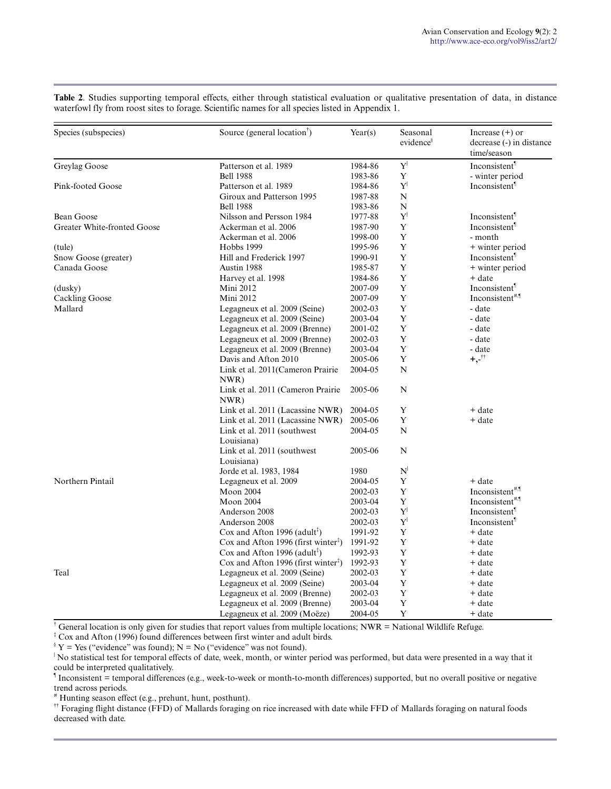| Species (subspecies)        | Source (general location <sup>†</sup> )                             | Year(s) | Seasonal<br>evidence <sup>§</sup> | Increase $(+)$ or<br>decrease (-) in distance<br>time/season |
|-----------------------------|---------------------------------------------------------------------|---------|-----------------------------------|--------------------------------------------------------------|
| Greylag Goose               | Patterson et al. 1989                                               | 1984-86 | $\mathbf{Y}^{\mid}$               | Inconsistent <sup>1</sup>                                    |
|                             | <b>Bell 1988</b>                                                    | 1983-86 | Y                                 | - winter period                                              |
| Pink-footed Goose           | Patterson et al. 1989                                               | 1984-86 | Y                                 | Inconsistent <sup>1</sup>                                    |
|                             | Giroux and Patterson 1995                                           | 1987-88 | N                                 |                                                              |
|                             | <b>Bell 1988</b>                                                    | 1983-86 | N                                 |                                                              |
| <b>Bean Goose</b>           | Nilsson and Persson 1984                                            | 1977-88 | $Y^{\vert}$                       | Inconsistent                                                 |
| Greater White-fronted Goose | Ackerman et al. 2006                                                | 1987-90 | Y                                 | Inconsistent                                                 |
|                             | Ackerman et al. 2006                                                | 1998-00 | Y                                 | - month                                                      |
| (tule)                      | <b>Hobbs</b> 1999                                                   | 1995-96 | Y                                 | + winter period                                              |
| Snow Goose (greater)        | Hill and Frederick 1997                                             | 1990-91 | Y                                 | Inconsistent <sup>1</sup>                                    |
| Canada Goose                | Austin 1988                                                         | 1985-87 | Y                                 | + winter period                                              |
|                             | Harvey et al. 1998                                                  | 1984-86 | Y                                 | + date                                                       |
| (dusky)                     | Mini 2012                                                           | 2007-09 | Y                                 | Inconsistent <sup>1</sup>                                    |
| <b>Cackling Goose</b>       | <b>Mini 2012</b>                                                    | 2007-09 | Y                                 | Inconsistent <sup>#,¶</sup>                                  |
| Mallard                     | Legagneux et al. 2009 (Seine)                                       | 2002-03 | $\mathbf Y$                       | - date                                                       |
|                             | Legagneux et al. 2009 (Seine)                                       | 2003-04 | Y                                 | - date                                                       |
|                             | Legagneux et al. 2009 (Brenne)                                      | 2001-02 | Y                                 | - date                                                       |
|                             | Legagneux et al. 2009 (Brenne)                                      | 2002-03 | Y                                 | - date                                                       |
|                             | Legagneux et al. 2009 (Brenne)                                      | 2003-04 | Y                                 | - date                                                       |
|                             | Davis and Afton 2010                                                | 2005-06 | Y                                 | $+,-$ <sup>††</sup>                                          |
|                             | Link et al. 2011 (Cameron Prairie<br>NWR)                           | 2004-05 | N                                 |                                                              |
|                             | Link et al. 2011 (Cameron Prairie<br>NWR)                           | 2005-06 | N                                 |                                                              |
|                             | Link et al. 2011 (Lacassine NWR)                                    | 2004-05 | Y                                 | + date                                                       |
|                             | Link et al. 2011 (Lacassine NWR)                                    | 2005-06 | Y                                 | + date                                                       |
|                             | Link et al. 2011 (southwest)                                        | 2004-05 | N                                 |                                                              |
|                             | Louisiana)                                                          |         |                                   |                                                              |
|                             | Link et al. 2011 (southwest<br>Louisiana)                           | 2005-06 | N                                 |                                                              |
|                             | Jorde et al. 1983, 1984                                             | 1980    | N <sup>1</sup>                    |                                                              |
| Northern Pintail            | Legagneux et al. 2009                                               | 2004-05 | Y                                 | + date                                                       |
|                             | <b>Moon 2004</b>                                                    | 2002-03 | Y                                 | Inconsistent <sup>#,¶</sup>                                  |
|                             | <b>Moon 2004</b>                                                    | 2003-04 | Y                                 | Inconsistent <sup>#,1</sup>                                  |
|                             | Anderson 2008                                                       | 2002-03 | $Y^{\dagger}$                     | Inconsistent <sup>1</sup>                                    |
|                             | Anderson 2008                                                       | 2002-03 | $Y^{\dagger}$                     | Inconsistent <sup>1</sup>                                    |
|                             | Cox and Afton 1996 (adult <sup><math>\ddagger</math></sup> )        | 1991-92 | Y                                 | + date                                                       |
|                             | Cox and Afton 1996 (first winter <sup>†</sup> )                     | 1991-92 | Y                                 | + date                                                       |
|                             | Cox and Afton 1996 (adult <sup><math>\ddagger</math></sup> )        | 1992-93 | Y                                 | + date                                                       |
|                             | Cox and Afton 1996 (first winter <sup><math>\ddagger</math></sup> ) | 1992-93 | Y                                 | + date                                                       |
| Teal                        | Legagneux et al. 2009 (Seine)                                       | 2002-03 | Y                                 | + date                                                       |
|                             | Legagneux et al. 2009 (Seine)                                       | 2003-04 | Y                                 | + date                                                       |
|                             | Legagneux et al. 2009 (Brenne)                                      | 2002-03 | $\mathbf Y$                       | + date                                                       |
|                             | Legagneux et al. 2009 (Brenne)                                      | 2003-04 | $\mathbf Y$                       | + date                                                       |
|                             | Legagneux et al. 2009 (Moëze)                                       | 2004-05 | Y                                 | + date                                                       |

**Table 2**. Studies supporting temporal effects, either through statistical evaluation or qualitative presentation of data, in distance waterfowl fly from roost sites to forage. Scientific names for all species listed in Appendix 1.

† General location is only given for studies that report values from multiple locations; NWR = National Wildlife Refuge.

<sup>‡</sup> Cox and Afton (1996) found differences between first winter and adult birds.<br><sup>§</sup> Y = Yes ("evidence" was found); N = No ("evidence" was not found).

 $\sim$  No statistical test for temporal effects of date, week, month, or winter period was performed, but data were presented in a way that it

could be interpreted qualitatively. ¶ Inconsistent = temporal differences (e.g., week-to-week or month-to-month differences) supported, but no overall positive or negative trend across periods.

# Hunting season effect (e.g., prehunt, hunt, posthunt).

†† Foraging flight distance (FFD) of Mallards foraging on rice increased with date while FFD of Mallards foraging on natural foods decreased with date.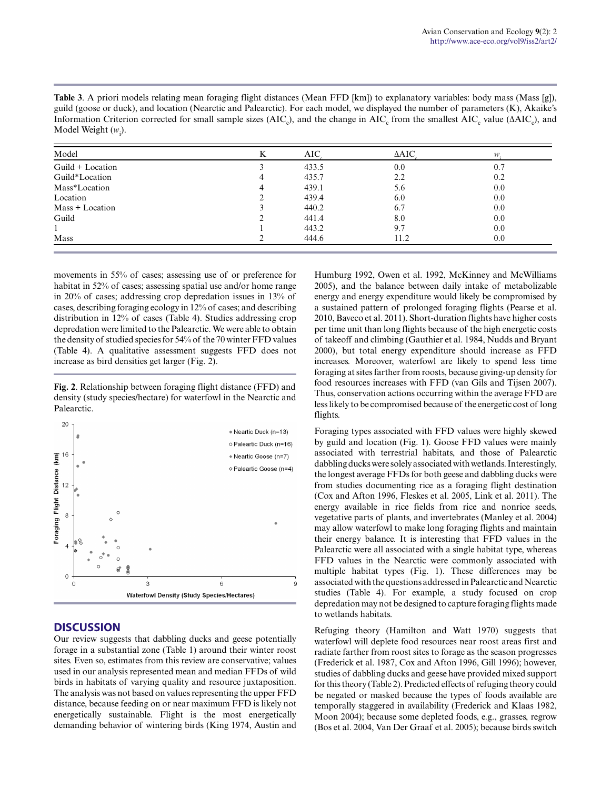| <b>Table 3.</b> A priori models relating mean foraging flight distances (Mean FFD [km]) to explanatory variables: body mass (Mass [g]),                                            |
|------------------------------------------------------------------------------------------------------------------------------------------------------------------------------------|
| guild (goose or duck), and location (Nearctic and Palearctic). For each model, we displayed the number of parameters (K), Akaike's                                                 |
| Information Criterion corrected for small sample sizes (AIC <sub>c</sub> ), and the change in AIC <sub>c</sub> from the smallest AIC <sub>c</sub> value ( $\triangle AIC_c$ ), and |
| Model Weight $(w_1)$ .                                                                                                                                                             |

| Model             | K | AIC   | $\triangle AIC$ | w.  |
|-------------------|---|-------|-----------------|-----|
| Guild + Location  |   | 433.5 | 0.0             | 0.7 |
| Guild*Location    | 4 | 435.7 | 2.2             | 0.2 |
| Mass*Location     |   | 439.1 | 5.6             | 0.0 |
| Location          |   | 439.4 | 6.0             | 0.0 |
| $Mass + Location$ |   | 440.2 | 6.7             | 0.0 |
| Guild             |   | 441.4 | 8.0             | 0.0 |
|                   |   | 443.2 | 9.7             | 0.0 |
| Mass              |   | 444.6 | 11.2            | 0.0 |

movements in 55% of cases; assessing use of or preference for habitat in 52% of cases; assessing spatial use and/or home range in 20% of cases; addressing crop depredation issues in 13% of cases, describing foraging ecology in 12% of cases; and describing distribution in 12% of cases (Table 4). Studies addressing crop depredation were limited to the Palearctic. We were able to obtain the density of studied species for 54% of the 70 winter FFD values (Table 4). A qualitative assessment suggests FFD does not increase as bird densities get larger (Fig. 2).

**Fig. 2**. Relationship between foraging flight distance (FFD) and density (study species/hectare) for waterfowl in the Nearctic and Palearctic.



#### **DISCUSSION**

Our review suggests that dabbling ducks and geese potentially forage in a substantial zone (Table 1) around their winter roost sites. Even so, estimates from this review are conservative; values used in our analysis represented mean and median FFDs of wild birds in habitats of varying quality and resource juxtaposition. The analysis was not based on values representing the upper FFD distance, because feeding on or near maximum FFD is likely not energetically sustainable. Flight is the most energetically demanding behavior of wintering birds (King 1974, Austin and Humburg 1992, Owen et al. 1992, McKinney and McWilliams 2005), and the balance between daily intake of metabolizable energy and energy expenditure would likely be compromised by a sustained pattern of prolonged foraging flights (Pearse et al. 2010, Baveco et al. 2011). Short-duration flights have higher costs per time unit than long flights because of the high energetic costs of takeoff and climbing (Gauthier et al. 1984, Nudds and Bryant 2000), but total energy expenditure should increase as FFD increases. Moreover, waterfowl are likely to spend less time foraging at sites farther from roosts, because giving-up density for food resources increases with FFD (van Gils and Tijsen 2007). Thus, conservation actions occurring within the average FFD are less likely to be compromised because of the energetic cost of long flights.

Foraging types associated with FFD values were highly skewed by guild and location (Fig. 1). Goose FFD values were mainly associated with terrestrial habitats, and those of Palearctic dabbling ducks were solely associated with wetlands. Interestingly, the longest average FFDs for both geese and dabbling ducks were from studies documenting rice as a foraging flight destination (Cox and Afton 1996, Fleskes et al. 2005, Link et al. 2011). The energy available in rice fields from rice and nonrice seeds, vegetative parts of plants, and invertebrates (Manley et al. 2004) may allow waterfowl to make long foraging flights and maintain their energy balance. It is interesting that FFD values in the Palearctic were all associated with a single habitat type, whereas FFD values in the Nearctic were commonly associated with multiple habitat types (Fig. 1). These differences may be associated with the questions addressed in Palearctic and Nearctic studies (Table 4). For example, a study focused on crop depredation may not be designed to capture foraging flights made to wetlands habitats.

Refuging theory (Hamilton and Watt 1970) suggests that waterfowl will deplete food resources near roost areas first and radiate farther from roost sites to forage as the season progresses (Frederick et al. 1987, Cox and Afton 1996, Gill 1996); however, studies of dabbling ducks and geese have provided mixed support for this theory (Table 2). Predicted effects of refuging theory could be negated or masked because the types of foods available are temporally staggered in availability (Frederick and Klaas 1982, Moon 2004); because some depleted foods, e.g., grasses, regrow (Bos et al. 2004, Van Der Graaf et al. 2005); because birds switch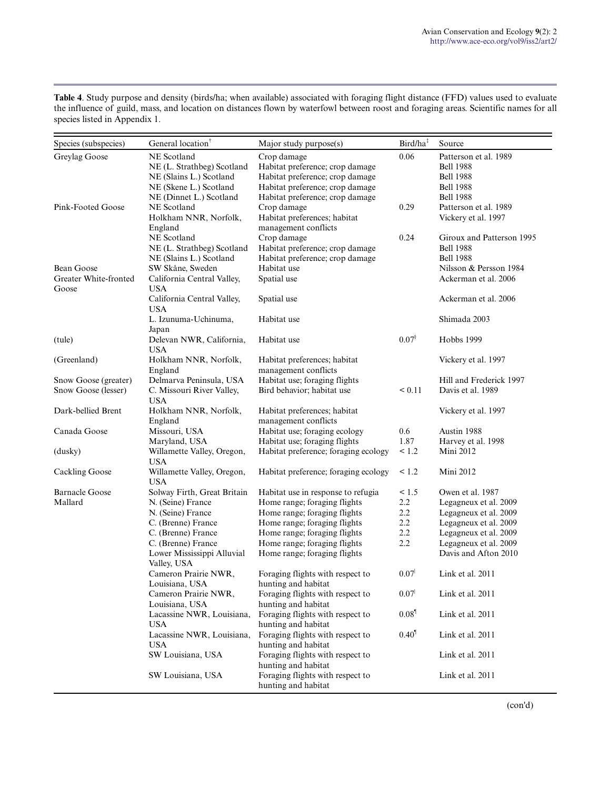**Table 4**. Study purpose and density (birds/ha; when available) associated with foraging flight distance (FFD) values used to evaluate the influence of guild, mass, and location on distances flown by waterfowl between roost and foraging areas. Scientific names for all species listed in Appendix 1.

| Species (subspecies)  | General location <sup>†</sup>           | Major study purpose(s)                                  | Bird/ha <sup>‡</sup> | Source                    |
|-----------------------|-----------------------------------------|---------------------------------------------------------|----------------------|---------------------------|
| Greylag Goose         | NE Scotland                             | Crop damage                                             | 0.06                 | Patterson et al. 1989     |
|                       | NE (L. Strathbeg) Scotland              | Habitat preference; crop damage                         |                      | <b>Bell 1988</b>          |
|                       | NE (Slains L.) Scotland                 | Habitat preference; crop damage                         |                      | <b>Bell 1988</b>          |
|                       | NE (Skene L.) Scotland                  | Habitat preference; crop damage                         |                      | <b>Bell 1988</b>          |
|                       | NE (Dinnet L.) Scotland                 | Habitat preference; crop damage                         |                      | <b>Bell 1988</b>          |
| Pink-Footed Goose     | NE Scotland                             | Crop damage                                             | 0.29                 | Patterson et al. 1989     |
|                       | Holkham NNR, Norfolk,                   | Habitat preferences; habitat                            |                      | Vickery et al. 1997       |
|                       | England                                 | management conflicts                                    |                      |                           |
|                       | NE Scotland                             | Crop damage                                             | 0.24                 | Giroux and Patterson 1995 |
|                       | NE (L. Strathbeg) Scotland              | Habitat preference; crop damage                         |                      | <b>Bell 1988</b>          |
|                       | NE (Slains L.) Scotland                 | Habitat preference; crop damage                         |                      | <b>Bell 1988</b>          |
| <b>Bean Goose</b>     | SW Skåne, Sweden                        | Habitat use                                             |                      | Nilsson & Persson 1984    |
| Greater White-fronted | California Central Valley,              | Spatial use                                             |                      | Ackerman et al. 2006      |
| Goose                 | <b>USA</b>                              |                                                         |                      |                           |
|                       | California Central Valley,              | Spatial use                                             |                      | Ackerman et al. 2006      |
|                       | <b>USA</b>                              |                                                         |                      |                           |
|                       | L. Izunuma-Uchinuma,                    | Habitat use                                             |                      | Shimada 2003              |
|                       | Japan                                   |                                                         | $0.07^{8}$           |                           |
| (tule)                | Delevan NWR, California,<br><b>USA</b>  | Habitat use                                             |                      | <b>Hobbs 1999</b>         |
| (Greenland)           | Holkham NNR, Norfolk,                   | Habitat preferences; habitat                            |                      | Vickery et al. 1997       |
|                       | England                                 | management conflicts                                    |                      |                           |
| Snow Goose (greater)  | Delmarva Peninsula, USA                 | Habitat use; foraging flights                           |                      | Hill and Frederick 1997   |
| Snow Goose (lesser)   | C. Missouri River Valley,               | Bird behavior; habitat use                              | < 0.11               | Davis et al. 1989         |
|                       | <b>USA</b>                              |                                                         |                      |                           |
| Dark-bellied Brent    | Holkham NNR, Norfolk,                   | Habitat preferences; habitat                            |                      | Vickery et al. 1997       |
|                       | England                                 | management conflicts                                    |                      |                           |
| Canada Goose          | Missouri, USA                           | Habitat use; foraging ecology                           | 0.6                  | Austin 1988               |
|                       | Maryland, USA                           | Habitat use; foraging flights                           | 1.87                 | Harvey et al. 1998        |
| (dusky)               | Willamette Valley, Oregon,              | Habitat preference; foraging ecology                    | < 1.2                | Mini 2012                 |
|                       | <b>USA</b>                              |                                                         |                      |                           |
| <b>Cackling Goose</b> | Willamette Valley, Oregon,              | Habitat preference; foraging ecology                    | < 1.2                | <b>Mini 2012</b>          |
|                       | <b>USA</b>                              |                                                         |                      |                           |
| <b>Barnacle Goose</b> | Solway Firth, Great Britain             | Habitat use in response to refugia                      | < 1.5                | Owen et al. 1987          |
| Mallard               | N. (Seine) France                       | Home range; foraging flights                            | 2.2                  | Legagneux et al. 2009     |
|                       | N. (Seine) France                       | Home range; foraging flights                            | 2.2                  | Legagneux et al. 2009     |
|                       | C. (Brenne) France                      | Home range; foraging flights                            | 2.2                  | Legagneux et al. 2009     |
|                       | C. (Brenne) France                      | Home range; foraging flights                            | 2.2                  | Legagneux et al. 2009     |
|                       | C. (Brenne) France                      | Home range; foraging flights                            | 2.2                  | Legagneux et al. 2009     |
|                       | Lower Mississippi Alluvial              | Home range; foraging flights                            |                      | Davis and Afton 2010      |
|                       | Valley, USA                             |                                                         |                      |                           |
|                       | Cameron Prairie NWR,                    | Foraging flights with respect to                        | 0.07                 | Link et al. 2011          |
|                       | Louisiana, USA                          | hunting and habitat                                     |                      |                           |
|                       | Cameron Prairie NWR,                    | Foraging flights with respect to                        | 0.07 <sup>1</sup>    | Link et al. 2011          |
|                       | Louisiana, USA                          | hunting and habitat<br>Foraging flights with respect to | $0.08^{\dagger}$     | Link et al. 2011          |
|                       | Lacassine NWR, Louisiana,<br><b>USA</b> | hunting and habitat                                     |                      |                           |
|                       | Lacassine NWR, Louisiana,               | Foraging flights with respect to                        | $0.40^{\dagger}$     | Link et al. 2011          |
|                       | <b>USA</b>                              | hunting and habitat                                     |                      |                           |
|                       | SW Louisiana, USA                       | Foraging flights with respect to                        |                      | Link et al. 2011          |
|                       |                                         | hunting and habitat                                     |                      |                           |
|                       | SW Louisiana, USA                       | Foraging flights with respect to                        |                      | Link et al. 2011          |
|                       |                                         | hunting and habitat                                     |                      |                           |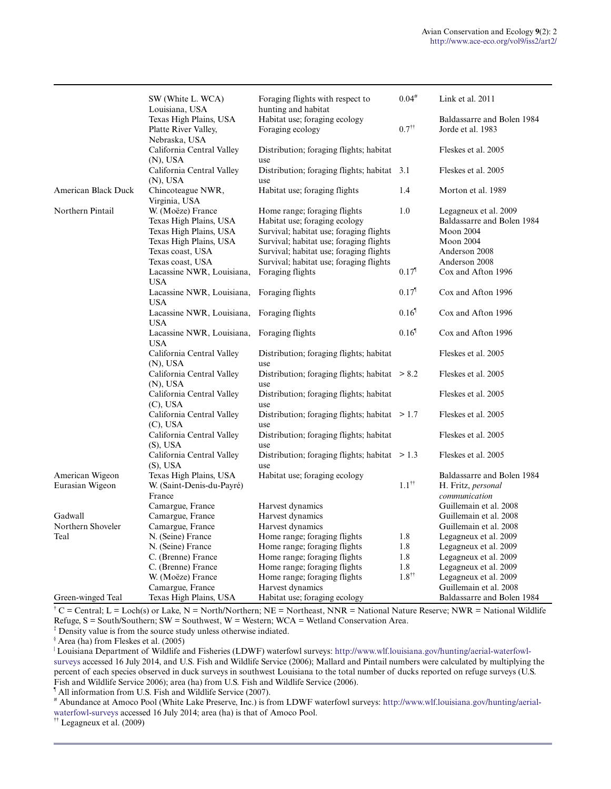|                              | SW (White L. WCA)<br>Louisiana, USA                                                                                                     | Foraging flights with respect to<br>hunting and habitat                                                                                                                                                                                   | $0.04^{\rm \scriptscriptstyle th}$ | Link et al. 2011                                                                                                              |
|------------------------------|-----------------------------------------------------------------------------------------------------------------------------------------|-------------------------------------------------------------------------------------------------------------------------------------------------------------------------------------------------------------------------------------------|------------------------------------|-------------------------------------------------------------------------------------------------------------------------------|
|                              | Texas High Plains, USA<br>Platte River Valley,<br>Nebraska, USA                                                                         | Habitat use; foraging ecology<br>Foraging ecology                                                                                                                                                                                         | $0.7^{\dagger\dagger}$             | Baldassarre and Bolen 1984<br>Jorde et al. 1983                                                                               |
|                              | California Central Valley<br>(N), USA                                                                                                   | Distribution; foraging flights; habitat<br>use                                                                                                                                                                                            |                                    | Fleskes et al. 2005                                                                                                           |
|                              | California Central Valley<br>(N), USA                                                                                                   | Distribution; foraging flights; habitat 3.1<br>use                                                                                                                                                                                        |                                    | Fleskes et al. 2005                                                                                                           |
| <b>American Black Duck</b>   | Chincoteague NWR,<br>Virginia, USA                                                                                                      | Habitat use; foraging flights                                                                                                                                                                                                             | 1.4                                | Morton et al. 1989                                                                                                            |
| Northern Pintail             | W. (Moëze) France<br>Texas High Plains, USA<br>Texas High Plains, USA<br>Texas High Plains, USA<br>Texas coast, USA<br>Texas coast, USA | Home range; foraging flights<br>Habitat use; foraging ecology<br>Survival; habitat use; foraging flights<br>Survival; habitat use; foraging flights<br>Survival; habitat use; foraging flights<br>Survival; habitat use; foraging flights | 1.0                                | Legagneux et al. 2009<br>Baldassarre and Bolen 1984<br><b>Moon 2004</b><br><b>Moon 2004</b><br>Anderson 2008<br>Anderson 2008 |
|                              | Lacassine NWR, Louisiana,<br>USA                                                                                                        | Foraging flights                                                                                                                                                                                                                          | $0.17^{\rm T}$                     | Cox and Afton 1996                                                                                                            |
|                              | Lacassine NWR, Louisiana,<br><b>USA</b>                                                                                                 | Foraging flights                                                                                                                                                                                                                          | $0.17^{\dagger}$                   | Cox and Afton 1996                                                                                                            |
|                              | Lacassine NWR, Louisiana,<br><b>USA</b>                                                                                                 | Foraging flights                                                                                                                                                                                                                          | $0.16^{1}$                         | Cox and Afton 1996                                                                                                            |
|                              | Lacassine NWR, Louisiana,<br><b>USA</b>                                                                                                 | Foraging flights                                                                                                                                                                                                                          | $0.16^{1}$                         | Cox and Afton 1996                                                                                                            |
|                              | California Central Valley<br>(N), USA                                                                                                   | Distribution; foraging flights; habitat<br>use                                                                                                                                                                                            |                                    | Fleskes et al. 2005                                                                                                           |
|                              | California Central Valley<br>$(N)$ , USA                                                                                                | Distribution; foraging flights; habitat $> 8.2$<br>use                                                                                                                                                                                    |                                    | Fleskes et al. 2005                                                                                                           |
|                              | California Central Valley<br>$(C)$ , USA                                                                                                | Distribution; foraging flights; habitat<br>use                                                                                                                                                                                            |                                    | Fleskes et al. 2005                                                                                                           |
|                              | California Central Valley<br>(C), USA                                                                                                   | Distribution; foraging flights; habitat $>1.7$<br>use                                                                                                                                                                                     |                                    | Fleskes et al. 2005                                                                                                           |
|                              | California Central Valley<br>$(S)$ , USA                                                                                                | Distribution; foraging flights; habitat<br>use                                                                                                                                                                                            |                                    | Fleskes et al. 2005                                                                                                           |
|                              | California Central Valley<br>$(S)$ , USA                                                                                                | Distribution; foraging flights; habitat $> 1.3$<br>use                                                                                                                                                                                    |                                    | Fleskes et al. 2005                                                                                                           |
| American Wigeon              | Texas High Plains, USA                                                                                                                  | Habitat use; foraging ecology                                                                                                                                                                                                             |                                    | Baldassarre and Bolen 1984                                                                                                    |
| Eurasian Wigeon              | W. (Saint-Denis-du-Payré)<br>France                                                                                                     |                                                                                                                                                                                                                                           | $1.1$ <sup>††</sup>                | H. Fritz, personal<br>communication                                                                                           |
|                              | Camargue, France                                                                                                                        | Harvest dynamics                                                                                                                                                                                                                          |                                    | Guillemain et al. 2008                                                                                                        |
| Gadwall<br>Northern Shoveler | Camargue, France<br>Camargue, France                                                                                                    | Harvest dynamics                                                                                                                                                                                                                          |                                    | Guillemain et al. 2008<br>Guillemain et al. 2008                                                                              |
| Teal                         | N. (Seine) France                                                                                                                       | Harvest dynamics<br>Home range; foraging flights                                                                                                                                                                                          |                                    |                                                                                                                               |
|                              | N. (Seine) France                                                                                                                       | Home range; foraging flights                                                                                                                                                                                                              | 1.8<br>1.8                         | Legagneux et al. 2009<br>Legagneux et al. 2009                                                                                |
|                              | C. (Brenne) France                                                                                                                      | Home range; foraging flights                                                                                                                                                                                                              | 1.8                                | Legagneux et al. 2009                                                                                                         |
|                              | C. (Brenne) France                                                                                                                      | Home range; foraging flights                                                                                                                                                                                                              | 1.8                                | Legagneux et al. 2009                                                                                                         |
|                              | W. (Moëze) France                                                                                                                       | Home range; foraging flights                                                                                                                                                                                                              | $1.8^{\dagger\dagger}$             | Legagneux et al. 2009                                                                                                         |
|                              | Camargue, France                                                                                                                        | Harvest dynamics                                                                                                                                                                                                                          |                                    | Guillemain et al. 2008                                                                                                        |
| Green-winged Teal            | Texas High Plains, USA                                                                                                                  | Habitat use; foraging ecology                                                                                                                                                                                                             |                                    | Baldassarre and Bolen 1984                                                                                                    |

 $\dagger$  C = Central; L = Loch(s) or Lake, N = North/Northern; NE = Northeast, NNR = National Nature Reserve; NWR = National Wildlife Refuge, S = South/Southern; SW = Southwest, W = Western; WCA = Wetland Conservation Area.

‡ Density value is from the source study unless otherwise indiated.

§ Area (ha) from Fleskes et al. (2005)

 Louisiana Department of Wildlife and Fisheries (LDWF) waterfowl surveys: [http://www.wlf.louisiana.gov/hunting/aerial-waterfowl](http://www.wlf.louisiana.gov/hunting/aerial-waterfowl-surveys)[surveys](http://www.wlf.louisiana.gov/hunting/aerial-waterfowl-surveys) accessed 16 July 2014, and U.S. Fish and Wildlife Service (2006); Mallard and Pintail numbers were calculated by multiplying the percent of each species observed in duck surveys in southwest Louisiana to the total number of ducks reported on refuge surveys (U.S. Fish and Wildlife Service 2006); area (ha) from U.S. Fish and Wildlife Service (2006).

<sup>1</sup> All information from U.S. Fish and Wildlife Service (2007).

# Abundance at Amoco Pool (White Lake Preserve, Inc.) is from LDWF waterfowl surveys: [http://www.wlf.louisiana.gov/hunting/aerial](http://www.wlf.louisiana.gov/hunting/aerial-waterfowl-surveys)[waterfowl-surveys](http://www.wlf.louisiana.gov/hunting/aerial-waterfowl-surveys) accessed 16 July 2014; area (ha) is that of Amoco Pool.

†† Legagneux et al. (2009)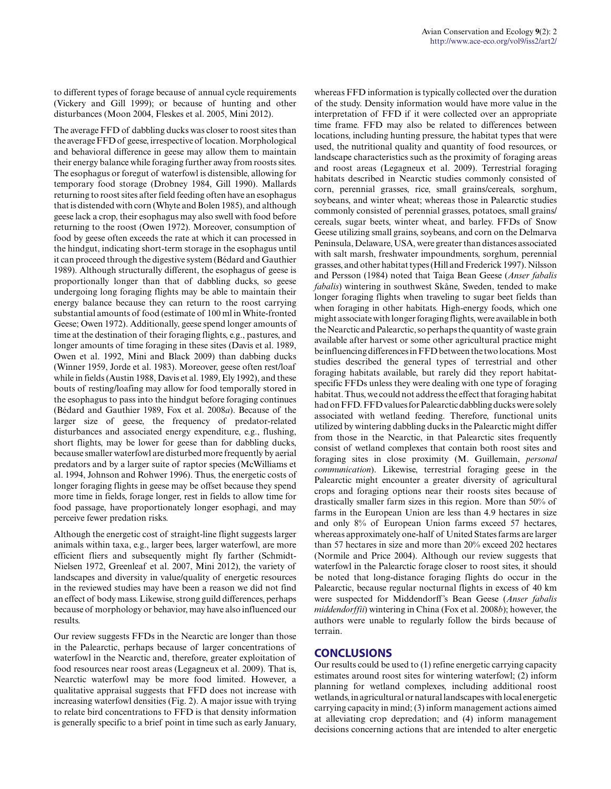to different types of forage because of annual cycle requirements (Vickery and Gill 1999); or because of hunting and other disturbances (Moon 2004, Fleskes et al. 2005, Mini 2012).

The average FFD of dabbling ducks was closer to roost sites than the average FFD of geese, irrespective of location. Morphological and behavioral difference in geese may allow them to maintain their energy balance while foraging further away from roosts sites. The esophagus or foregut of waterfowl is distensible, allowing for temporary food storage (Drobney 1984, Gill 1990). Mallards returning to roost sites after field feeding often have an esophagus that is distended with corn (Whyte and Bolen 1985), and although geese lack a crop, their esophagus may also swell with food before returning to the roost (Owen 1972). Moreover, consumption of food by geese often exceeds the rate at which it can processed in the hindgut, indicating short-term storage in the esophagus until it can proceed through the digestive system (Bédard and Gauthier 1989). Although structurally different, the esophagus of geese is proportionally longer than that of dabbling ducks, so geese undergoing long foraging flights may be able to maintain their energy balance because they can return to the roost carrying substantial amounts of food (estimate of 100 ml in White-fronted Geese; Owen 1972). Additionally, geese spend longer amounts of time at the destination of their foraging flights, e.g., pastures, and longer amounts of time foraging in these sites (Davis et al. 1989, Owen et al. 1992, Mini and Black 2009) than dabbing ducks (Winner 1959, Jorde et al. 1983). Moreover, geese often rest/loaf while in fields (Austin 1988, Davis et al. 1989, Ely 1992), and these bouts of resting/loafing may allow for food temporally stored in the esophagus to pass into the hindgut before foraging continues (Bédard and Gauthier 1989, Fox et al. 2008*a*). Because of the larger size of geese, the frequency of predator-related disturbances and associated energy expenditure, e.g., flushing, short flights, may be lower for geese than for dabbling ducks, because smaller waterfowl are disturbed more frequently by aerial predators and by a larger suite of raptor species (McWilliams et al. 1994, Johnson and Rohwer 1996). Thus, the energetic costs of longer foraging flights in geese may be offset because they spend more time in fields, forage longer, rest in fields to allow time for food passage, have proportionately longer esophagi, and may perceive fewer predation risks.

Although the energetic cost of straight-line flight suggests larger animals within taxa, e.g., larger bees, larger waterfowl, are more efficient fliers and subsequently might fly farther (Schmidt-Nielsen 1972, Greenleaf et al. 2007, Mini 2012), the variety of landscapes and diversity in value/quality of energetic resources in the reviewed studies may have been a reason we did not find an effect of body mass. Likewise, strong guild differences, perhaps because of morphology or behavior, may have also influenced our results.

Our review suggests FFDs in the Nearctic are longer than those in the Palearctic, perhaps because of larger concentrations of waterfowl in the Nearctic and, therefore, greater exploitation of food resources near roost areas (Legagneux et al. 2009). That is, Nearctic waterfowl may be more food limited. However, a qualitative appraisal suggests that FFD does not increase with increasing waterfowl densities (Fig. 2). A major issue with trying to relate bird concentrations to FFD is that density information is generally specific to a brief point in time such as early January,

whereas FFD information is typically collected over the duration of the study. Density information would have more value in the interpretation of FFD if it were collected over an appropriate time frame. FFD may also be related to differences between locations, including hunting pressure, the habitat types that were used, the nutritional quality and quantity of food resources, or landscape characteristics such as the proximity of foraging areas and roost areas (Legagneux et al. 2009). Terrestrial foraging habitats described in Nearctic studies commonly consisted of corn, perennial grasses, rice, small grains/cereals, sorghum, soybeans, and winter wheat; whereas those in Palearctic studies commonly consisted of perennial grasses, potatoes, small grains/ cereals, sugar beets, winter wheat, and barley. FFDs of Snow Geese utilizing small grains, soybeans, and corn on the Delmarva Peninsula, Delaware, USA, were greater than distances associated with salt marsh, freshwater impoundments, sorghum, perennial grasses, and other habitat types (Hill and Frederick 1997). Nilsson and Persson (1984) noted that Taiga Bean Geese (*Anser fabalis fabalis*) wintering in southwest Skåne, Sweden, tended to make longer foraging flights when traveling to sugar beet fields than when foraging in other habitats. High-energy foods, which one might associate with longer foraging flights, were available in both the Nearctic and Palearctic, so perhaps the quantity of waste grain available after harvest or some other agricultural practice might be influencing differences in FFD between the two locations. Most studies described the general types of terrestrial and other foraging habitats available, but rarely did they report habitatspecific FFDs unless they were dealing with one type of foraging habitat. Thus, we could not address the effect that foraging habitat had on FFD. FFD values for Palearctic dabbling ducks were solely associated with wetland feeding. Therefore, functional units utilized by wintering dabbling ducks in the Palearctic might differ from those in the Nearctic, in that Palearctic sites frequently consist of wetland complexes that contain both roost sites and foraging sites in close proximity (M. Guillemain, *personal communication*). Likewise, terrestrial foraging geese in the Palearctic might encounter a greater diversity of agricultural crops and foraging options near their roosts sites because of drastically smaller farm sizes in this region. More than 50% of farms in the European Union are less than 4.9 hectares in size and only 8% of European Union farms exceed 57 hectares, whereas approximately one-half of United States farms are larger than 57 hectares in size and more than 20% exceed 202 hectares (Normile and Price 2004). Although our review suggests that waterfowl in the Palearctic forage closer to roost sites, it should be noted that long-distance foraging flights do occur in the Palearctic, because regular nocturnal flights in excess of 40 km were suspected for Middendorff's Bean Geese (*Anser fabalis middendorffii*) wintering in China (Fox et al. 2008*b*); however, the authors were unable to regularly follow the birds because of terrain.

## **CONCLUSIONS**

Our results could be used to (1) refine energetic carrying capacity estimates around roost sites for wintering waterfowl; (2) inform planning for wetland complexes, including additional roost wetlands, in agricultural or natural landscapes with local energetic carrying capacity in mind; (3) inform management actions aimed at alleviating crop depredation; and (4) inform management decisions concerning actions that are intended to alter energetic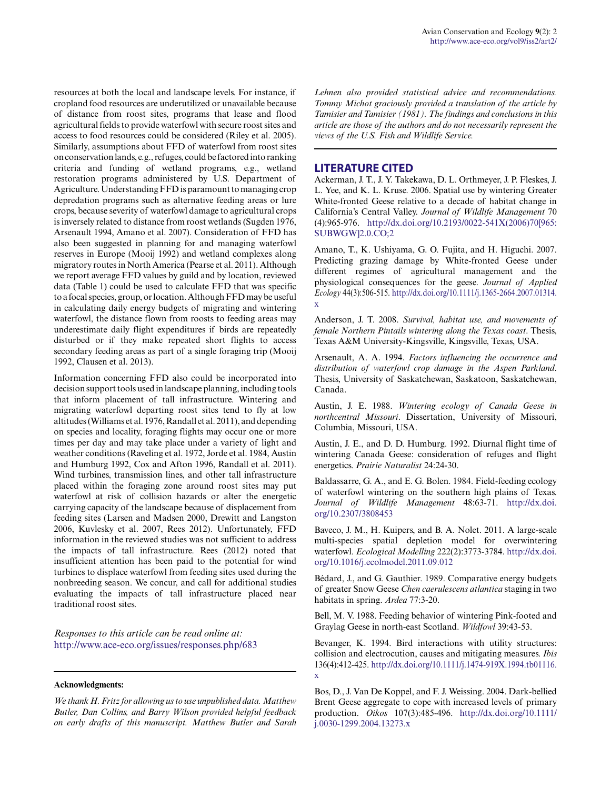resources at both the local and landscape levels. For instance, if cropland food resources are underutilized or unavailable because of distance from roost sites, programs that lease and flood agricultural fields to provide waterfowl with secure roost sites and access to food resources could be considered (Riley et al. 2005). Similarly, assumptions about FFD of waterfowl from roost sites on conservation lands, e.g., refuges, could be factored into ranking criteria and funding of wetland programs, e.g., wetland restoration programs administered by U.S. Department of Agriculture. Understanding FFD is paramount to managing crop depredation programs such as alternative feeding areas or lure crops, because severity of waterfowl damage to agricultural crops is inversely related to distance from roost wetlands (Sugden 1976, Arsenault 1994, Amano et al. 2007). Consideration of FFD has also been suggested in planning for and managing waterfowl reserves in Europe (Mooij 1992) and wetland complexes along migratory routes in North America (Pearse et al. 2011). Although we report average FFD values by guild and by location, reviewed data (Table 1) could be used to calculate FFD that was specific to a focal species, group, or location. Although FFD may be useful in calculating daily energy budgets of migrating and wintering waterfowl, the distance flown from roosts to feeding areas may underestimate daily flight expenditures if birds are repeatedly disturbed or if they make repeated short flights to access secondary feeding areas as part of a single foraging trip (Mooij 1992, Clausen et al. 2013).

Information concerning FFD also could be incorporated into decision support tools used in landscape planning, including tools that inform placement of tall infrastructure. Wintering and migrating waterfowl departing roost sites tend to fly at low altitudes (Williams et al. 1976, Randall et al. 2011), and depending on species and locality, foraging flights may occur one or more times per day and may take place under a variety of light and weather conditions (Raveling et al. 1972, Jorde et al. 1984, Austin and Humburg 1992, Cox and Afton 1996, Randall et al. 2011). Wind turbines, transmission lines, and other tall infrastructure placed within the foraging zone around roost sites may put waterfowl at risk of collision hazards or alter the energetic carrying capacity of the landscape because of displacement from feeding sites (Larsen and Madsen 2000, Drewitt and Langston 2006, Kuvlesky et al. 2007, Rees 2012). Unfortunately, FFD information in the reviewed studies was not sufficient to address the impacts of tall infrastructure. Rees (2012) noted that insufficient attention has been paid to the potential for wind turbines to displace waterfowl from feeding sites used during the nonbreeding season. We concur, and call for additional studies evaluating the impacts of tall infrastructure placed near traditional roost sites.

*Responses to this article can be read online at:* <http://www.ace-eco.org/issues/responses.php/683>

#### **Acknowledgments:**

*We thank H. Fritz for allowing us to use unpublished data. Matthew Butler, Dan Collins, and Barry Wilson provided helpful feedback on early drafts of this manuscript. Matthew Butler and Sarah* *Lehnen also provided statistical advice and recommendations. Tommy Michot graciously provided a translation of the article by Tamisier and Tamisier (1981). The findings and conclusions in this article are those of the authors and do not necessarily represent the views of the U.S. Fish and Wildlife Service.*

#### **LITERATURE CITED**

Ackerman, J. T., J. Y. Takekawa, D. L. Orthmeyer, J. P. Fleskes, J. L. Yee, and K. L. Kruse. 2006. Spatial use by wintering Greater White-fronted Geese relative to a decade of habitat change in California's Central Valley. *Journal of Wildlife Management* 70 (4):965-976. [http://dx.doi.org/10.2193/0022-541X\(2006\)70\[965:](http://dx.doi.org/10.2193%2F0022-541X%282006%2970%5B965%3ASUBWGW%5D2.0.CO%3B2) [SUBWGW\]2.0.CO;2](http://dx.doi.org/10.2193%2F0022-541X%282006%2970%5B965%3ASUBWGW%5D2.0.CO%3B2) 

Amano, T., K. Ushiyama, G. O. Fujita, and H. Higuchi. 2007. Predicting grazing damage by White-fronted Geese under different regimes of agricultural management and the physiological consequences for the geese. *Journal of Applied Ecology* 44(3):506-515. [http://dx.doi.org/10.1111/j.1365-2664.2007.01314.](http://dx.doi.org/10.1111%2Fj.1365-2664.2007.01314.x) [x](http://dx.doi.org/10.1111%2Fj.1365-2664.2007.01314.x) 

Anderson, J. T. 2008. *Survival, habitat use, and movements of female Northern Pintails wintering along the Texas coast*. Thesis, Texas A&M University-Kingsville, Kingsville, Texas, USA.

Arsenault, A. A. 1994. *Factors influencing the occurrence and distribution of waterfowl crop damage in the Aspen Parkland*. Thesis, University of Saskatchewan, Saskatoon, Saskatchewan, Canada.

Austin, J. E. 1988. *Wintering ecology of Canada Geese in northcentral Missouri*. Dissertation, University of Missouri, Columbia, Missouri, USA.

Austin, J. E., and D. D. Humburg. 1992. Diurnal flight time of wintering Canada Geese: consideration of refuges and flight energetics. *Prairie Naturalist* 24:24-30.

Baldassarre, G. A., and E. G. Bolen. 1984. Field-feeding ecology of waterfowl wintering on the southern high plains of Texas. *Journal of Wildlife Management* 48:63-71. [http://dx.doi.](http://dx.doi.org/10.2307%2F3808453) [org/10.2307/3808453](http://dx.doi.org/10.2307%2F3808453) 

Baveco, J. M., H. Kuipers, and B. A. Nolet. 2011. A large-scale multi-species spatial depletion model for overwintering waterfowl. *Ecological Modelling* 222(2):3773-3784. [http://dx.doi.](http://dx.doi.org/10.1016%2Fj.ecolmodel.2011.09.012) [org/10.1016/j.ecolmodel.2011.09.012](http://dx.doi.org/10.1016%2Fj.ecolmodel.2011.09.012) 

Bédard, J., and G. Gauthier. 1989. Comparative energy budgets of greater Snow Geese *Chen caerulescens atlantica* staging in two habitats in spring. *Ardea* 77:3-20.

Bell, M. V. 1988. Feeding behavior of wintering Pink-footed and Graylag Geese in north-east Scotland. *Wildfowl* 39:43-53.

Bevanger, K. 1994. Bird interactions with utility structures: collision and electrocution, causes and mitigating measures. *Ibis* 136(4):412-425. [http://dx.doi.org/10.1111/j.1474-919X.1994.tb01116.](http://dx.doi.org/10.1111%2Fj.1474-919X.1994.tb01116.x) [x](http://dx.doi.org/10.1111%2Fj.1474-919X.1994.tb01116.x) 

Bos, D., J. Van De Koppel, and F. J. Weissing. 2004. Dark-bellied Brent Geese aggregate to cope with increased levels of primary production. *Oikos* 107(3):485-496. [http://dx.doi.org/10.1111/](http://dx.doi.org/10.1111%2Fj.0030-1299.2004.13273.x) [j.0030-1299.2004.13273.x](http://dx.doi.org/10.1111%2Fj.0030-1299.2004.13273.x)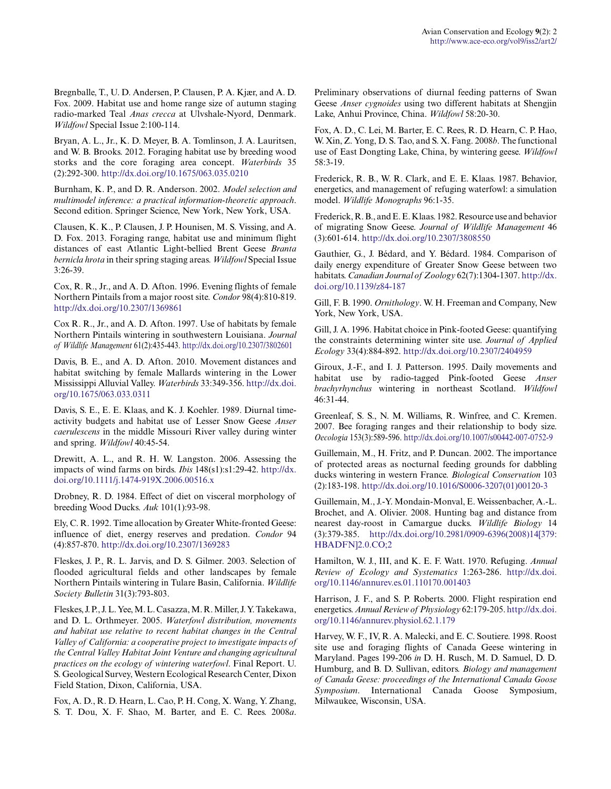Bregnballe, T., U. D. Andersen, P. Clausen, P. A. Kjær, and A. D. Fox. 2009. Habitat use and home range size of autumn staging radio-marked Teal *Anas crecca* at Ulvshale-Nyord, Denmark. *Wildfowl* Special Issue 2:100-114.

Bryan, A. L., Jr., K. D. Meyer, B. A. Tomlinson, J. A. Lauritsen, and W. B. Brooks. 2012. Foraging habitat use by breeding wood storks and the core foraging area concept. *Waterbirds* 35 (2):292-300. [http://dx.doi.org/10.1675/063.035.0210](http://dx.doi.org/10.1675%2F063.035.0210) 

Burnham, K. P., and D. R. Anderson. 2002. *Model selection and multimodel inference: a practical information-theoretic approach*. Second edition. Springer Science, New York, New York, USA.

Clausen, K. K., P. Clausen, J. P. Hounisen, M. S. Vissing, and A. D. Fox. 2013. Foraging range, habitat use and minimum flight distances of east Atlantic Light-bellied Brent Geese *Branta bernicla hrota* in their spring staging areas. *Wildfowl* Special Issue 3:26-39.

Cox, R. R., Jr., and A. D. Afton. 1996. Evening flights of female Northern Pintails from a major roost site. *Condor* 98(4):810-819. [http://dx.doi.org/10.2307/1369861](http://dx.doi.org/10.2307%2F1369861) 

Cox R. R., Jr., and A. D. Afton. 1997. Use of habitats by female Northern Pintails wintering in southwestern Louisiana. *Journal of Wildlife Management* 61(2):435-443. [http://dx.doi.org/10.2307/3802601](http://dx.doi.org/10.2307%2F3802601)

Davis, B. E., and A. D. Afton. 2010. Movement distances and habitat switching by female Mallards wintering in the Lower Mississippi Alluvial Valley. *Waterbirds* 33:349-356. [http://dx.doi.](http://dx.doi.org/10.1675%2F063.033.0311) [org/10.1675/063.033.0311](http://dx.doi.org/10.1675%2F063.033.0311)

Davis, S. E., E. E. Klaas, and K. J. Koehler. 1989. Diurnal timeactivity budgets and habitat use of Lesser Snow Geese *Anser caerulescens* in the middle Missouri River valley during winter and spring. *Wildfowl* 40:45-54.

Drewitt, A. L., and R. H. W. Langston. 2006. Assessing the impacts of wind farms on birds. *Ibis* 148(s1):s1:29-42. [http://dx.](http://dx.doi.org/10.1111%2Fj.1474-919X.2006.00516.x) [doi.org/10.1111/j.1474-919X.2006.00516.x](http://dx.doi.org/10.1111%2Fj.1474-919X.2006.00516.x) 

Drobney, R. D. 1984. Effect of diet on visceral morphology of breeding Wood Ducks. *Auk* 101(1):93-98.

Ely, C. R. 1992. Time allocation by Greater White-fronted Geese: influence of diet, energy reserves and predation. *Condor* 94 (4):857-870. [http://dx.doi.org/10.2307/1369283](http://dx.doi.org/10.2307%2F1369283)

Fleskes, J. P., R. L. Jarvis, and D. S. Gilmer. 2003. Selection of flooded agricultural fields and other landscapes by female Northern Pintails wintering in Tulare Basin, California. *Wildlife Society Bulletin* 31(3):793-803.

Fleskes, J. P., J. L. Yee, M. L. Casazza, M. R. Miller, J. Y. Takekawa, and D. L. Orthmeyer. 2005. *Waterfowl distribution, movements and habitat use relative to recent habitat changes in the Central Valley of California: a cooperative project to investigate impacts of the Central Valley Habitat Joint Venture and changing agricultural practices on the ecology of wintering waterfowl*. Final Report. U. S. Geological Survey, Western Ecological Research Center, Dixon Field Station, Dixon, California, USA.

Fox, A. D., R. D. Hearn, L. Cao, P. H. Cong, X. Wang, Y. Zhang, S. T. Dou, X. F. Shao, M. Barter, and E. C. Rees. 2008*a*. Preliminary observations of diurnal feeding patterns of Swan Geese *Anser cygnoides* using two different habitats at Shengjin Lake, Anhui Province, China. *Wildfowl* 58:20-30.

Fox, A. D., C. Lei, M. Barter, E. C. Rees, R. D. Hearn, C. P. Hao, W. Xin, Z. Yong, D. S. Tao, and S. X. Fang. 2008*b*. The functional use of East Dongting Lake, China, by wintering geese. *Wildfowl* 58:3-19.

Frederick, R. B., W. R. Clark, and E. E. Klaas. 1987. Behavior, energetics, and management of refuging waterfowl: a simulation model. *Wildlife Monographs* 96:1-35.

Frederick, R. B., and E. E. Klaas. 1982. Resource use and behavior of migrating Snow Geese. *Journal of Wildlife Management* 46 (3):601-614. [http://dx.doi.org/10.2307/3808550](http://dx.doi.org/10.2307%2F3808550)

Gauthier, G., J. Bédard, and Y. Bédard. 1984. Comparison of daily energy expenditure of Greater Snow Geese between two habitats. *Canadian Journal of Zoology* 62(7):1304-1307. [http://dx.](http://dx.doi.org/10.1139%2Fz84-187) [doi.org/10.1139/z84-187](http://dx.doi.org/10.1139%2Fz84-187)

Gill, F. B. 1990. *Ornithology*. W. H. Freeman and Company, New York, New York, USA.

Gill, J. A. 1996. Habitat choice in Pink-footed Geese: quantifying the constraints determining winter site use. *Journal of Applied Ecology* 33(4):884-892. [http://dx.doi.org/10.2307/2404959](http://dx.doi.org/10.2307%2F2404959) 

Giroux, J.-F., and I. J. Patterson. 1995. Daily movements and habitat use by radio-tagged Pink-footed Geese *Anser brachyrhynchus* wintering in northeast Scotland. *Wildfowl* 46:31-44.

Greenleaf, S. S., N. M. Williams, R. Winfree, and C. Kremen. 2007. Bee foraging ranges and their relationship to body size. *Oecologia* 153(3):589-596. [http://dx.doi.org/10.1007/s00442-007-0752-9](http://dx.doi.org/10.1007%2Fs00442-007-0752-9)

Guillemain, M., H. Fritz, and P. Duncan. 2002. The importance of protected areas as nocturnal feeding grounds for dabbling ducks wintering in western France. *Biological Conservation* 103 (2):183-198. [http://dx.doi.org/10.1016/S0006-3207\(01\)00120-3](http://dx.doi.org/10.1016%2FS0006-3207%2801%2900120-3) 

Guillemain, M., J.-Y. Mondain-Monval, E. Weissenbacher, A.-L. Brochet, and A. Olivier. 2008. Hunting bag and distance from nearest day-roost in Camargue ducks. *Wildlife Biology* 14 (3):379-385. [http://dx.doi.org/10.2981/0909-6396\(2008\)14\[379:](http://dx.doi.org/10.2981%2F0909-6396%282008%2914%5B379%3AHBADFN%5D2.0.CO%3B2) [HBADFN\]2.0.CO;2](http://dx.doi.org/10.2981%2F0909-6396%282008%2914%5B379%3AHBADFN%5D2.0.CO%3B2) 

Hamilton, W. J., III, and K. E. F. Watt. 1970. Refuging. *Annual Review of Ecology and Systematics* 1:263-286. [http://dx.doi.](http://dx.doi.org/10.1146%2Fannurev.es.01.110170.001403) [org/10.1146/annurev.es.01.110170.001403](http://dx.doi.org/10.1146%2Fannurev.es.01.110170.001403) 

Harrison, J. F., and S. P. Roberts. 2000. Flight respiration end energetics. *Annual Review of Physiology* 62:179-205. [http://dx.doi.](http://dx.doi.org/10.1146%2Fannurev.physiol.62.1.179) [org/10.1146/annurev.physiol.62.1.179](http://dx.doi.org/10.1146%2Fannurev.physiol.62.1.179)

Harvey, W. F., IV, R. A. Malecki, and E. C. Soutiere. 1998. Roost site use and foraging flights of Canada Geese wintering in Maryland. Pages 199-206 *in* D. H. Rusch, M. D. Samuel, D. D. Humburg, and B. D. Sullivan, editors. *Biology and management of Canada Geese: proceedings of the International Canada Goose Symposium*. International Canada Goose Symposium, Milwaukee, Wisconsin, USA.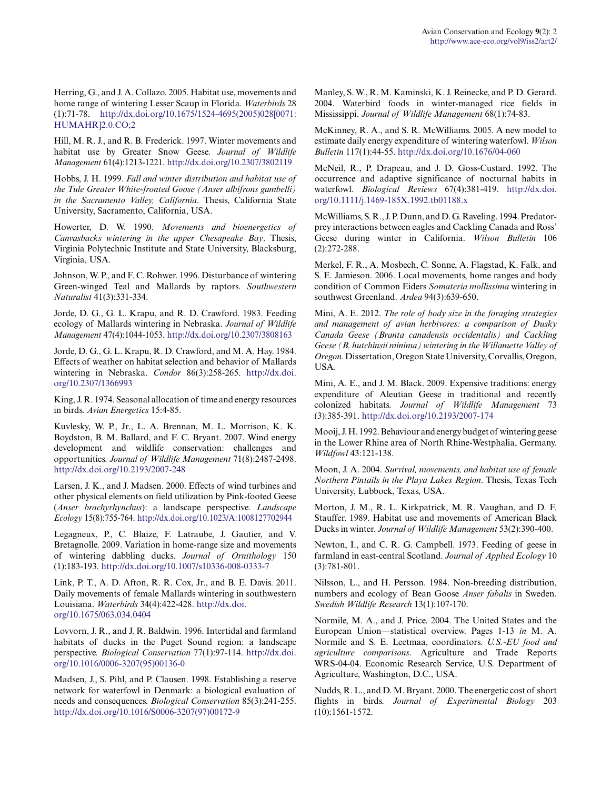Herring, G., and J. A. Collazo. 2005. Habitat use, movements and home range of wintering Lesser Scaup in Florida. *Waterbirds* 28 (1):71-78. [http://dx.doi.org/10.1675/1524-4695\(2005\)028\[0071:](http://dx.doi.org/10.1675%2F1524-4695%282005%29028%5B0071%3AHUMAHR%5D2.0.CO%3B2) [HUMAHR\]2.0.CO;2](http://dx.doi.org/10.1675%2F1524-4695%282005%29028%5B0071%3AHUMAHR%5D2.0.CO%3B2) 

Hill, M. R. J., and R. B. Frederick. 1997. Winter movements and habitat use by Greater Snow Geese. *Journal of Wildlife Management* 61(4):1213-1221. [http://dx.doi.org/10.2307/3802119](http://dx.doi.org/10.2307%2F3802119) 

Hobbs, J. H. 1999. *Fall and winter distribution and habitat use of the Tule Greater White-fronted Goose (Anser albifrons gambelli) in the Sacramento Valley, California*. Thesis, California State University, Sacramento, California, USA.

Howerter, D. W. 1990. *Movements and bioenergetics of Canvasbacks wintering in the upper Chesapeake Bay*. Thesis, Virginia Polytechnic Institute and State University, Blacksburg, Virginia, USA.

Johnson, W. P., and F. C. Rohwer. 1996. Disturbance of wintering Green-winged Teal and Mallards by raptors. *Southwestern Naturalist* 41(3):331-334.

Jorde, D. G., G. L. Krapu, and R. D. Crawford. 1983. Feeding ecology of Mallards wintering in Nebraska. *Journal of Wildlife Management* 47(4):1044-1053. [http://dx.doi.org/10.2307/3808163](http://dx.doi.org/10.2307%2F3808163) 

Jorde, D. G., G. L. Krapu, R. D. Crawford, and M. A. Hay. 1984. Effects of weather on habitat selection and behavior of Mallards wintering in Nebraska. *Condor* 86(3):258-265. [http://dx.doi.](http://dx.doi.org/10.2307%2F1366993) [org/10.2307/1366993](http://dx.doi.org/10.2307%2F1366993) 

King, J. R. 1974. Seasonal allocation of time and energy resources in birds. *Avian Energetics* 15:4-85.

Kuvlesky, W. P., Jr., L. A. Brennan, M. L. Morrison, K. K. Boydston, B. M. Ballard, and F. C. Bryant. 2007. Wind energy development and wildlife conservation: challenges and opportunities. *Journal of Wildlife Management* 71(8):2487-2498. [http://dx.doi.org/10.2193/2007-248](http://dx.doi.org/10.2193%2F2007-248) 

Larsen, J. K., and J. Madsen. 2000. Effects of wind turbines and other physical elements on field utilization by Pink-footed Geese (*Anser brachyrhynchus*): a landscape perspective. *Landscape Ecology* 15(8):755-764. [http://dx.doi.org/10.1023/A:1008127702944](http://dx.doi.org/10.1023%2FA%3A1008127702944) 

Legagneux, P., C. Blaize, F. Latraube, J. Gautier, and V. Bretagnolle. 2009. Variation in home-range size and movements of wintering dabbling ducks. *Journal of Ornithology* 150 (1):183-193. [http://dx.doi.org/10.1007/s10336-008-0333-7](http://dx.doi.org/10.1007%2Fs10336-008-0333-7) 

Link, P. T., A. D. Afton, R. R. Cox, Jr., and B. E. Davis. 2011. Daily movements of female Mallards wintering in southwestern Louisiana. *Waterbirds* 34(4):422-428. [http://dx.doi.](http://dx.doi.org/10.1675%2F063.034.0404) [org/10.1675/063.034.0404](http://dx.doi.org/10.1675%2F063.034.0404)

Lovvorn, J. R., and J. R. Baldwin. 1996. Intertidal and farmland habitats of ducks in the Puget Sound region: a landscape perspective. *Biological Conservation* 77(1):97-114. [http://dx.doi.](http://dx.doi.org/10.1016%2F0006-3207%2895%2900136-0) [org/10.1016/0006-3207\(95\)00136-0](http://dx.doi.org/10.1016%2F0006-3207%2895%2900136-0)

Madsen, J., S. Pihl, and P. Clausen. 1998. Establishing a reserve network for waterfowl in Denmark: a biological evaluation of needs and consequences. *Biological Conservation* 85(3):241-255. [http://dx.doi.org/10.1016/S0006-3207\(97\)00172-9](http://dx.doi.org/10.1016%2FS0006-3207%2897%2900172-9)

Manley, S. W., R. M. Kaminski, K. J. Reinecke, and P. D. Gerard. 2004. Waterbird foods in winter-managed rice fields in Mississippi. *Journal of Wildlife Management* 68(1):74-83.

McKinney, R. A., and S. R. McWilliams. 2005. A new model to estimate daily energy expenditure of wintering waterfowl. *Wilson Bulletin* 117(1):44-55. [http://dx.doi.org/10.1676/04-060](http://dx.doi.org/10.1676%2F04-060)

McNeil, R., P. Drapeau, and J. D. Goss-Custard. 1992. The occurrence and adaptive significance of nocturnal habits in waterfowl. *Biological Reviews* 67(4):381-419. [http://dx.doi.](http://dx.doi.org/10.1111%2Fj.1469-185X.1992.tb01188.x) [org/10.1111/j.1469-185X.1992.tb01188.x](http://dx.doi.org/10.1111%2Fj.1469-185X.1992.tb01188.x) 

McWilliams, S. R., J. P. Dunn, and D. G. Raveling. 1994. Predatorprey interactions between eagles and Cackling Canada and Ross' Geese during winter in California. *Wilson Bulletin* 106 (2):272-288.

Merkel, F. R., A. Mosbech, C. Sonne, A. Flagstad, K. Falk, and S. E. Jamieson. 2006. Local movements, home ranges and body condition of Common Eiders *Somateria mollissima* wintering in southwest Greenland. *Ardea* 94(3):639-650.

Mini, A. E. 2012. *The role of body size in the foraging strategies and management of avian herbivores: a comparison of Dusky Canada Geese (Branta canadensis occidentalis) and Cackling Geese (B. hutchinsii minima) wintering in the Willamette Valley of Oregon*. Dissertation, Oregon State University, Corvallis, Oregon, USA.

Mini, A. E., and J. M. Black. 2009. Expensive traditions: energy expenditure of Aleutian Geese in traditional and recently colonized habitats. *Journal of Wildlife Management* 73 (3):385-391. [http://dx.doi.org/10.2193/2007-174](http://dx.doi.org/10.2193%2F2007-174)

Mooij, J. H. 1992. Behaviour and energy budget of wintering geese in the Lower Rhine area of North Rhine-Westphalia, Germany. *Wildfowl* 43:121-138.

Moon, J. A. 2004. *Survival, movements, and habitat use of female Northern Pintails in the Playa Lakes Region*. Thesis, Texas Tech University, Lubbock, Texas, USA.

Morton, J. M., R. L. Kirkpatrick, M. R. Vaughan, and D. F. Stauffer. 1989. Habitat use and movements of American Black Ducks in winter. *Journal of Wildlife Management* 53(2):390-400.

Newton, I., and C. R. G. Campbell. 1973. Feeding of geese in farmland in east-central Scotland. *Journal of Applied Ecology* 10 (3):781-801.

Nilsson, L., and H. Persson. 1984. Non-breeding distribution, numbers and ecology of Bean Goose *Anser fabalis* in Sweden. *Swedish Wildlife Research* 13(1):107-170.

Normile, M. A., and J. Price. 2004. The United States and the European Union—statistical overview. Pages 1-13 *in* M. A. Normile and S. E. Leetmaa, coordinators. *U.S.-EU food and agriculture comparisons*. Agriculture and Trade Reports WRS-04-04. Economic Research Service, U.S. Department of Agriculture, Washington, D.C., USA.

Nudds, R. L., and D. M. Bryant. 2000. The energetic cost of short flights in birds. *Journal of Experimental Biology* 203 (10):1561-1572.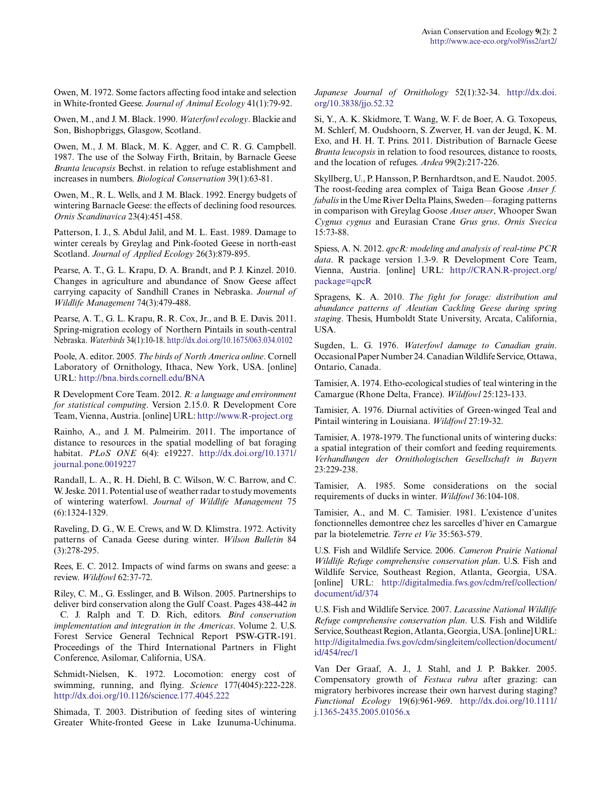Owen, M. 1972. Some factors affecting food intake and selection in White-fronted Geese. *Journal of Animal Ecology* 41(1):79-92.

Owen, M., and J. M. Black. 1990. *Waterfowl ecology*. Blackie and Son, Bishopbriggs, Glasgow, Scotland.

Owen, M., J. M. Black, M. K. Agger, and C. R. G. Campbell. 1987. The use of the Solway Firth, Britain, by Barnacle Geese *Branta leucopsis* Bechst. in relation to refuge establishment and increases in numbers. *Biological Conservation* 39(1):63-81.

Owen, M., R. L. Wells, and J. M. Black. 1992. Energy budgets of wintering Barnacle Geese: the effects of declining food resources. *Ornis Scandinavica* 23(4):451-458.

Patterson, I. J., S. Abdul Jalil, and M. L. East. 1989. Damage to winter cereals by Greylag and Pink-footed Geese in north-east Scotland. *Journal of Applied Ecology* 26(3):879-895.

Pearse, A. T., G. L. Krapu, D. A. Brandt, and P. J. Kinzel. 2010. Changes in agriculture and abundance of Snow Geese affect carrying capacity of Sandhill Cranes in Nebraska. *Journal of Wildlife Management* 74(3):479-488.

Pearse, A. T., G. L. Krapu, R. R. Cox, Jr., and B. E. Davis. 2011. Spring-migration ecology of Northern Pintails in south-central Nebraska. *Waterbirds* 34(1):10-18. [http://dx.doi.org/10.1675/063.034.0102](http://dx.doi.org/10.1675%2F063.034.0102)

Poole, A. editor. 2005. *The birds of North America online*. Cornell Laboratory of Ornithology, Ithaca, New York, USA. [online] URL:<http://bna.birds.cornell.edu/BNA>

R Development Core Team. 2012. *R: a language and environment for statistical computing*. Version 2.15.0. R Development Core Team, Vienna, Austria. [online] URL:<http://www.R-project.org>

Rainho, A., and J. M. Palmeirim. 2011. The importance of distance to resources in the spatial modelling of bat foraging habitat. *PLoS ONE* 6(4): e19227. [http://dx.doi.org/10.1371/](http://dx.doi.org/10.1371/journal.pone.0019227) [journal.pone.0019227](http://dx.doi.org/10.1371/journal.pone.0019227)

Randall, L. A., R. H. Diehl, B. C. Wilson, W. C. Barrow, and C. W. Jeske. 2011. Potential use of weather radar to study movements of wintering waterfowl. *Journal of Wildlife Management* 75 (6):1324-1329.

Raveling, D. G., W. E. Crews, and W. D. Klimstra. 1972. Activity patterns of Canada Geese during winter. *Wilson Bulletin* 84 (3):278-295.

Rees, E. C. 2012. Impacts of wind farms on swans and geese: a review. *Wildfowl* 62:37-72.

Riley, C. M., G. Esslinger, and B. Wilson. 2005. Partnerships to deliver bird conservation along the Gulf Coast. Pages 438-442 *in* C. J. Ralph and T. D. Rich, editors. *Bird conservation implementation and integration in the Americas*. Volume 2. U.S. Forest Service General Technical Report PSW-GTR-191. Proceedings of the Third International Partners in Flight Conference, Asilomar, California, USA.

Schmidt-Nielsen, K. 1972. Locomotion: energy cost of swimming, running, and flying. *Science* 177(4045):222-228. <http://dx.doi.org/10.1126/science.177.4045.222>

Shimada, T. 2003. Distribution of feeding sites of wintering Greater White-fronted Geese in Lake Izunuma-Uchinuma.

*Japanese Journal of Ornithology* 52(1):32-34. [http://dx.doi.](http://dx.doi.org/10.3838/jjo.52.32) [org/10.3838/jjo.52.32](http://dx.doi.org/10.3838/jjo.52.32)

Si, Y., A. K. Skidmore, T. Wang, W. F. de Boer, A. G. Toxopeus, M. Schlerf, M. Oudshoorn, S. Zwerver, H. van der Jeugd, K. M. Exo, and H. H. T. Prins. 2011. Distribution of Barnacle Geese *Branta leucopsis* in relation to food resources, distance to roosts, and the location of refuges. *Ardea* 99(2):217-226.

Skyllberg, U., P. Hansson, P. Bernhardtson, and E. Naudot. 2005. The roost-feeding area complex of Taiga Bean Goose *Anser f. fabalis* in the Ume River Delta Plains, Sweden—foraging patterns in comparison with Greylag Goose *Anser anser*, Whooper Swan *Cygnus cygnus* and Eurasian Crane *Grus grus*. *Ornis Svecica* 15:73-88.

Spiess, A. N. 2012. *qpcR: modeling and analysis of real-time PCR data*. R package version 1.3-9. R Development Core Team, Vienna, Austria. [online] URL: [http://CRAN.R-project.org/](http://CRAN.R-project.org/package=qpcR) [package=qpcR](http://CRAN.R-project.org/package=qpcR) 

Spragens, K. A. 2010. *The fight for forage: distribution and abundance patterns of Aleutian Cackling Geese during spring staging*. Thesis, Humboldt State University, Arcata, California, USA.

Sugden, L. G. 1976. *Waterfowl damage to Canadian grain*. Occasional Paper Number 24. Canadian Wildlife Service, Ottawa, Ontario, Canada.

Tamisier, A. 1974. Etho-ecological studies of teal wintering in the Camargue (Rhone Delta, France). *Wildfowl* 25:123-133.

Tamisier, A. 1976. Diurnal activities of Green-winged Teal and Pintail wintering in Louisiana. *Wildfowl* 27:19-32.

Tamisier, A. 1978-1979. The functional units of wintering ducks: a spatial integration of their comfort and feeding requirements. *Verhandlungen der Ornithologischen Gesellschaft in Bayern* 23:229-238.

Tamisier, A. 1985. Some considerations on the social requirements of ducks in winter. *Wildfowl* 36:104-108.

Tamisier, A., and M. C. Tamisier. 1981. L'existence d'unites fonctionnelles demontree chez les sarcelles d'hiver en Camargue par la biotelemetrie. *Terre et Vie* 35:563-579.

U.S. Fish and Wildlife Service. 2006. *Cameron Prairie National Wildlife Refuge comprehensive conservation plan*. U.S. Fish and Wildlife Service, Southeast Region, Atlanta, Georgia, USA. [online] URL: [http://digitalmedia.fws.gov/cdm/ref/collection/](http://digitalmedia.fws.gov/cdm/ref/collection/document/id/374) [document/id/374](http://digitalmedia.fws.gov/cdm/ref/collection/document/id/374)

U.S. Fish and Wildlife Service. 2007. *Lacassine National Wildlife Refuge comprehensive conservation plan*. U.S. Fish and Wildlife Service, Southeast Region, Atlanta, Georgia, USA. [online] URL: [http://digitalmedia.fws.gov/cdm/singleitem/collection/document/](http://digitalmedia.fws.gov/cdm/singleitem/collection/document/id/454/rec/1) [id/454/rec/1](http://digitalmedia.fws.gov/cdm/singleitem/collection/document/id/454/rec/1)

Van Der Graaf, A. J., J. Stahl, and J. P. Bakker. 2005. Compensatory growth of *Festuca rubra* after grazing: can migratory herbivores increase their own harvest during staging? *Functional Ecology* 19(6):961-969. [http://dx.doi.org/10.1111/](http://dx.doi.org/10.1111/j.1365-2435.2005.01056.x) [j.1365-2435.2005.01056.x](http://dx.doi.org/10.1111/j.1365-2435.2005.01056.x)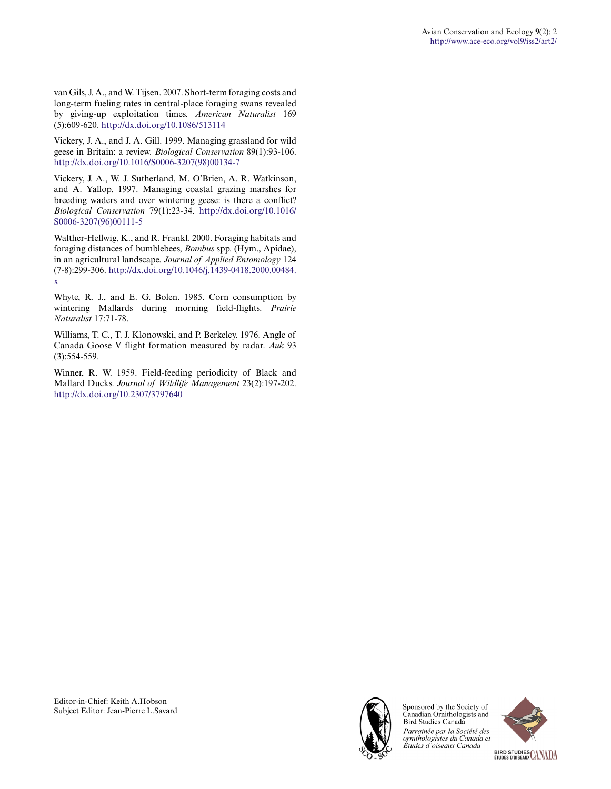van Gils, J. A., and W. Tijsen. 2007. Short-term foraging costs and long-term fueling rates in central-place foraging swans revealed by giving-up exploitation times. *American Naturalist* 169 (5):609-620. [http://dx.doi.org/10.1086/513114](http://dx.doi.org/10.1086%2F513114) 

Vickery, J. A., and J. A. Gill. 1999. Managing grassland for wild geese in Britain: a review. *Biological Conservation* 89(1):93-106. [http://dx.doi.org/10.1016/S0006-3207\(98\)00134-7](http://dx.doi.org/10.1016/S0006-3207(98)00134-7)

Vickery, J. A., W. J. Sutherland, M. O'Brien, A. R. Watkinson, and A. Yallop. 1997. Managing coastal grazing marshes for breeding waders and over wintering geese: is there a conflict? *Biological Conservation* 79(1):23-34. [http://dx.doi.org/10.1016/](http://dx.doi.org/10.1016/S0006-3207(96)00111-5) [S0006-3207\(96\)00111-5](http://dx.doi.org/10.1016/S0006-3207(96)00111-5) 

Walther-Hellwig, K., and R. Frankl. 2000. Foraging habitats and foraging distances of bumblebees, *Bombus* spp. (Hym., Apidae), in an agricultural landscape. *Journal of Applied Entomology* 124 (7-8):299-306. [http://dx.doi.org/10.1046/j.1439-0418.2000.00484.](http://dx.doi.org/10.1046%2Fj.1439-0418.2000.00484.x) [x](http://dx.doi.org/10.1046%2Fj.1439-0418.2000.00484.x)

Whyte, R. J., and E. G. Bolen. 1985. Corn consumption by wintering Mallards during morning field-flights. *Prairie Naturalist* 17:71-78.

Williams, T. C., T. J. Klonowski, and P. Berkeley. 1976. Angle of Canada Goose V flight formation measured by radar. *Auk* 93 (3):554-559.

Winner, R. W. 1959. Field-feeding periodicity of Black and Mallard Ducks. *Journal of Wildlife Management* 23(2):197-202. [http://dx.doi.org/10.2307/3797640](http://dx.doi.org/10.2307%2F3797640)





Sponsored by the Society of Canadian Ornithologists and Bird Studies Canada Parrainée par la Société des ornithologistes du Canada et<br>Études d`oiseaux Canada

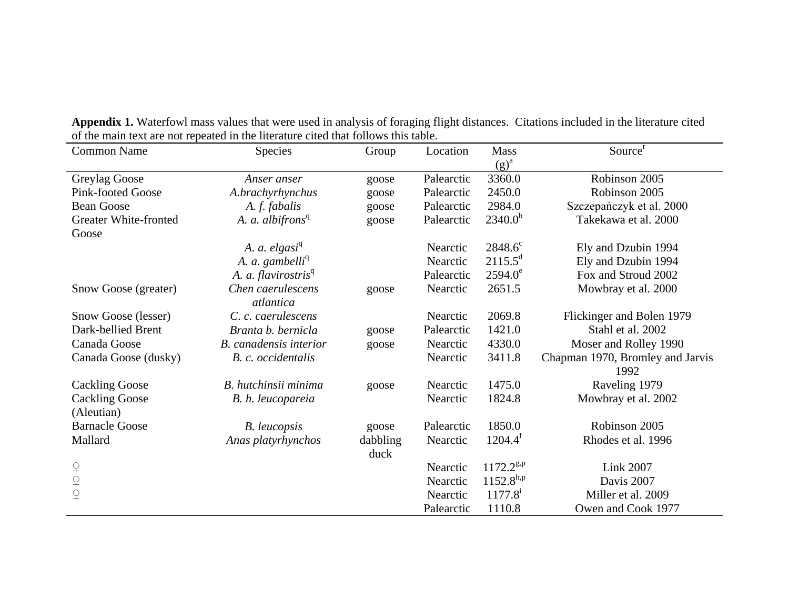| <b>Common Name</b>                         | Species                         | Group            | Location   | <b>Mass</b>    | Source <sup>r</sup>                      |
|--------------------------------------------|---------------------------------|------------------|------------|----------------|------------------------------------------|
|                                            |                                 |                  |            | $(g)^a$        |                                          |
| Greylag Goose                              | Anser anser                     | goose            | Palearctic | 3360.0         | Robinson 2005                            |
| <b>Pink-footed Goose</b>                   | A.brachyrhynchus                | goose            | Palearctic | 2450.0         | Robinson 2005                            |
| <b>Bean Goose</b>                          | A. f. fabalis                   | goose            | Palearctic | 2984.0         | Szczepańczyk et al. 2000                 |
| Greater White-fronted                      | A. a. albifrons <sup>q</sup>    | goose            | Palearctic | $2340.0^{b}$   | Takekawa et al. 2000                     |
| Goose                                      |                                 |                  |            |                |                                          |
|                                            | A. a. $elgasiq$                 |                  | Nearctic   | $2848.6^c$     | Ely and Dzubin 1994                      |
|                                            | A. a. gambelli <sup>q</sup>     |                  | Nearctic   | $2115.5^d$     | Ely and Dzubin 1994                      |
|                                            | A. a. flavirostris <sup>q</sup> |                  | Palearctic | $2594.0^e$     | Fox and Stroud 2002                      |
| Snow Goose (greater)                       | Chen caerulescens<br>atlantica  | goose            | Nearctic   | 2651.5         | Mowbray et al. 2000                      |
| Snow Goose (lesser)                        | C. c. caerulescens              |                  | Nearctic   | 2069.8         | Flickinger and Bolen 1979                |
| Dark-bellied Brent                         | Branta b. bernicla              | goose            | Palearctic | 1421.0         | Stahl et al. 2002                        |
| Canada Goose                               | <b>B.</b> canadensis interior   | goose            | Nearctic   | 4330.0         | Moser and Rolley 1990                    |
| Canada Goose (dusky)                       | B. c. occidentalis              |                  | Nearctic   | 3411.8         | Chapman 1970, Bromley and Jarvis<br>1992 |
| <b>Cackling Goose</b>                      | B. hutchinsii minima            | goose            | Nearctic   | 1475.0         | Raveling 1979                            |
| <b>Cackling Goose</b><br>(Aleutian)        | B. h. leucopareia               |                  | Nearctic   | 1824.8         | Mowbray et al. 2002                      |
| <b>Barnacle Goose</b>                      | <b>B.</b> leucopsis             | goose            | Palearctic | 1850.0         | Robinson 2005                            |
| Mallard                                    | Anas platyrhynchos              | dabbling<br>duck | Nearctic   | $1204.4^{f}$   | Rhodes et al. 1996                       |
|                                            |                                 |                  | Nearctic   | $1172.2^{g,p}$ | <b>Link 2007</b>                         |
| $\begin{array}{c} 2 \\ 2 \\ 1 \end{array}$ |                                 |                  | Nearctic   | $1152.8^{h,p}$ | Davis 2007                               |
|                                            |                                 |                  | Nearctic   | $1177.8^{i}$   | Miller et al. 2009                       |
|                                            |                                 |                  | Palearctic | 1110.8         | Owen and Cook 1977                       |

**Appendix 1.** Waterfowl mass values that were used in analysis of foraging flight distances. Citations included in the literature cited of the main text are not repeated in the literature cited that follows this table.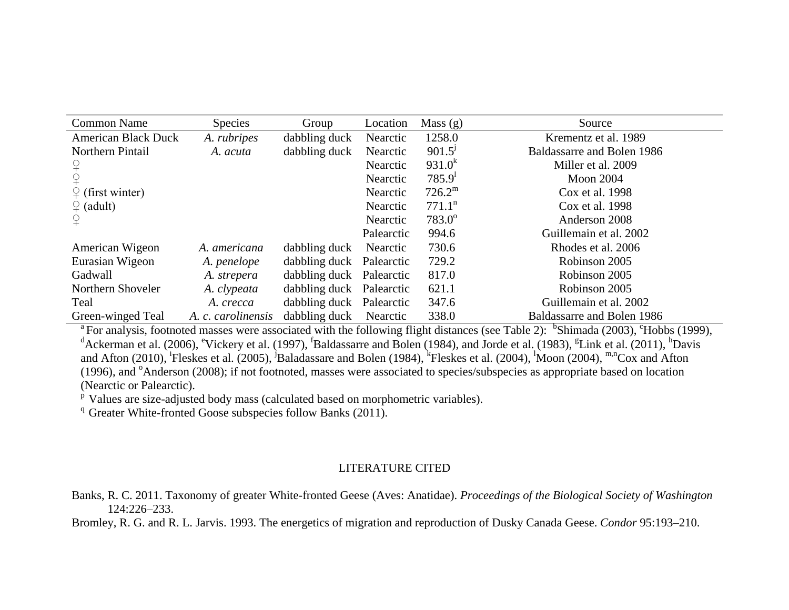| <b>Common Name</b>           | <b>Species</b>     | Group                    | Location   | Mass $(g)$           | Source                     |
|------------------------------|--------------------|--------------------------|------------|----------------------|----------------------------|
| <b>American Black Duck</b>   | A. rubripes        | dabbling duck            | Nearctic   | 1258.0               | Krementz et al. 1989       |
| Northern Pintail             | A. acuta           | dabbling duck            | Nearctic   | $901.5$ <sup>1</sup> | Baldassarre and Bolen 1986 |
|                              |                    |                          | Nearctic   | $931.0^{k}$          | Miller et al. 2009         |
|                              |                    |                          | Nearctic   | $785.9^{\circ}$      | <b>Moon 2004</b>           |
| $\mathcal{Q}$ (first winter) |                    |                          | Nearctic   | $726.2^{\rm m}$      | Cox et al. 1998            |
| $\varphi$ (adult)            |                    |                          | Nearctic   | 771.1 <sup>n</sup>   | Cox et al. 1998            |
|                              |                    |                          | Nearctic   | $783.0^{\circ}$      | Anderson 2008              |
|                              |                    |                          | Palearctic | 994.6                | Guillemain et al. 2002     |
| American Wigeon              | A. americana       | dabbling duck            | Nearctic   | 730.6                | Rhodes et al. 2006         |
| Eurasian Wigeon              | A. penelope        | dabbling duck Palearctic |            | 729.2                | Robinson 2005              |
| Gadwall                      | A. strepera        | dabbling duck Palearctic |            | 817.0                | Robinson 2005              |
| Northern Shoveler            | A. clypeata        | dabbling duck Palearctic |            | 621.1                | Robinson 2005              |
| Teal                         | A. crecca          | dabbling duck Palearctic |            | 347.6                | Guillemain et al. 2002     |
| Green-winged Teal            | A. c. carolinensis | dabbling duck            | Nearctic   | 338.0                | Baldassarre and Bolen 1986 |

<sup>a</sup> For analysis, footnoted masses were associated with the following flight distances (see Table 2): <sup>b</sup>Shimada (2003), <sup>c</sup>Hobbs (1999), <sup>d</sup>Ackerman et al. (2006), <sup>e</sup>Vickery et al. (1997), <sup>f</sup>Baldassarre and Bolen (1984), and Jorde et al. (1983), <sup>g</sup>Link et al. (2011), <sup>h</sup>Davis and Afton (2010), <sup>i</sup>Fleskes et al. (2005), <sup>j</sup>Baladassare and Bolen (1984), <sup>k</sup>Fleskes et al. (2004), <sup>l</sup>Moon (2004), <sup>m,n</sup>Cox and Afton (1996), and  $\degree$ Anderson (2008); if not footnoted, masses were associated to species/subspecies as appropriate based on location (Nearctic or Palearctic).

 $\overrightarrow{p}$  Values are size-adjusted body mass (calculated based on morphometric variables).

 $q$  Greater White-fronted Goose subspecies follow Banks (2011).

# LITERATURE CITED

Banks, R. C. 2011. Taxonomy of greater White-fronted Geese (Aves: Anatidae). *Proceedings of the Biological Society of Washington* 124:226–233.

Bromley, R. G. and R. L. Jarvis. 1993. The energetics of migration and reproduction of Dusky Canada Geese. *Condor* 95:193–210.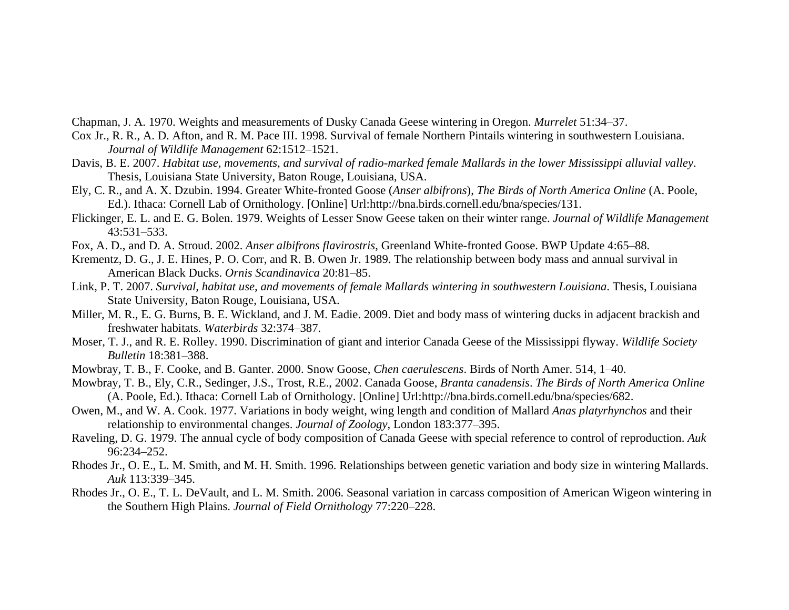Chapman, J. A. 1970. Weights and measurements of Dusky Canada Geese wintering in Oregon. *Murrelet* 51:34–37.

- Cox Jr., R. R., A. D. Afton, and R. M. Pace III. 1998. Survival of female Northern Pintails wintering in southwestern Louisiana. *Journal of Wildlife Management* 62:1512–1521.
- Davis, B. E. 2007. *Habitat use, movements, and survival of radio-marked female Mallards in the lower Mississippi alluvial valley*. Thesis, Louisiana State University, Baton Rouge, Louisiana, USA.
- Ely, C. R., and A. X. Dzubin. 1994. Greater White-fronted Goose (*Anser albifrons*), *The Birds of North America Online* (A. Poole, Ed.). Ithaca: Cornell Lab of Ornithology. [Online] Url:http://bna.birds.cornell.edu/bna/species/131.
- Flickinger, E. L. and E. G. Bolen. 1979. Weights of Lesser Snow Geese taken on their winter range. *Journal of Wildlife Management* 43:531–533.
- Fox, A. D., and D. A. Stroud. 2002. *Anser albifrons flavirostris*, Greenland White-fronted Goose. BWP Update 4:65–88.
- Krementz, D. G., J. E. Hines, P. O. Corr, and R. B. Owen Jr. 1989. The relationship between body mass and annual survival in American Black Ducks. *Ornis Scandinavica* 20:81–85.
- Link, P. T. 2007. *Survival, habitat use, and movements of female Mallards wintering in southwestern Louisiana*. Thesis, Louisiana State University, Baton Rouge, Louisiana, USA.
- Miller, M. R., E. G. Burns, B. E. Wickland, and J. M. Eadie. 2009. Diet and body mass of wintering ducks in adjacent brackish and freshwater habitats. *Waterbirds* 32:374–387.
- Moser, T. J., and R. E. Rolley. 1990. Discrimination of giant and interior Canada Geese of the Mississippi flyway. *Wildlife Society Bulletin* 18:381–388.
- Mowbray, T. B., F. Cooke, and B. Ganter. 2000. Snow Goose, *Chen caerulescens*. Birds of North Amer. 514, 1–40.
- Mowbray, T. B., Ely, C.R., Sedinger, J.S., Trost, R.E., 2002. Canada Goose, *Branta canadensis*. *The Birds of North America Online* (A. Poole, Ed.). Ithaca: Cornell Lab of Ornithology. [Online] Url:http://bna.birds.cornell.edu/bna/species/682.
- Owen, M., and W. A. Cook. 1977. Variations in body weight, wing length and condition of Mallard *Anas platyrhynchos* and their relationship to environmental changes. *Journal of Zoology*, London 183:377–395.
- Raveling, D. G. 1979. The annual cycle of body composition of Canada Geese with special reference to control of reproduction. *Auk* 96:234–252.
- Rhodes Jr., O. E., L. M. Smith, and M. H. Smith. 1996. Relationships between genetic variation and body size in wintering Mallards. *Auk* 113:339–345.
- Rhodes Jr., O. E., T. L. DeVault, and L. M. Smith. 2006. Seasonal variation in carcass composition of American Wigeon wintering in the Southern High Plains. *Journal of Field Ornithology* 77:220–228.